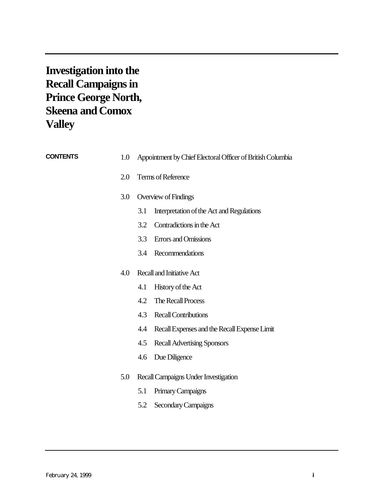**Investigation into the Recall Campaigns in Prince George North, Skeena and Comox Valley**

| <b>CONTENTS</b> | 1.0 | Appointment by Chief Electoral Officer of British Columbia |
|-----------------|-----|------------------------------------------------------------|
|                 | 2.0 | Terms of Reference                                         |
|                 | 3.0 | Overview of Findings                                       |
|                 |     | 3.1<br>Interpretation of the Act and Regulations           |
|                 |     | Contradictions in the Act<br>3.2                           |
|                 |     | 3.3<br><b>Errors</b> and Omissions                         |
|                 |     | Recommendations<br>3.4                                     |
|                 | 4.0 | Recall and Initiative Act                                  |
|                 |     | 4.1<br>History of the Act                                  |
|                 |     | The Recall Process<br>4.2                                  |
|                 |     | 4.3<br><b>Recall Contributions</b>                         |
|                 |     | 4.4<br>Recall Expenses and the Recall Expense Limit        |
|                 |     | <b>Recall Advertising Sponsors</b><br>4.5                  |
|                 |     | Due Diligence<br>4.6                                       |
|                 | 5.0 | Recall Campaigns Under Investigation                       |
|                 |     | Primary Campaigns<br>5.1                                   |
|                 |     | 5.2<br>Secondary Campaigns                                 |
|                 |     |                                                            |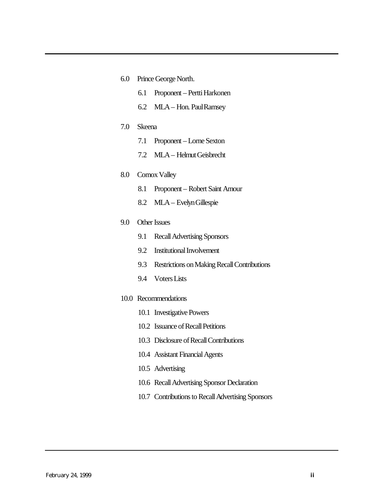- 6.0 [Prince George North.](#page-18-0)
	- 6.1 Proponent Pertti Harkonen
	- 6.2 MLA Hon. Paul Ramsey
- 7.0 [Skeena](#page-33-0)
	- 7.1 Proponent Lorne Sexton
	- 7.2 MLA Helmut Geisbrecht

#### 8.0 [Comox Valley](#page-45-0)

- 8.1 Proponent Robert Saint Amour
- 8.2 MLA Evelyn Gillespie

# 9.0 [Other Issues](#page-50-0)

- 9.1 Recall Advertising Sponsors
- 9.2 Institutional Involvement
- 9.3 Restrictions on Making Recall Contributions
- 9.4 Voters Lists
- 10.0 [Recommendations](#page-59-0)
	- 10.1 Investigative Powers
	- 10.2 Issuance of Recall Petitions
	- 10.3 Disclosure of Recall Contributions
	- 10.4 Assistant Financial Agents
	- 10.5 Advertising
	- 10.6 Recall Advertising Sponsor Declaration
	- 10.7 Contributions to Recall Advertising Sponsors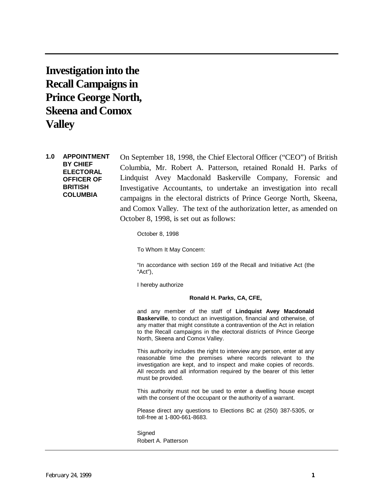<span id="page-2-0"></span>**Investigation into the Recall Campaigns in Prince George North, Skeena and Comox Valley**

**1.0 APPOINTMENT BY CHIEF ELECTORAL OFFICER OF BRITISH COLUMBIA**

On September 18, 1998, the Chief Electoral Officer ("CEO") of British Columbia, Mr. Robert A. Patterson, retained Ronald H. Parks of Lindquist Avey Macdonald Baskerville Company, Forensic and Investigative Accountants, to undertake an investigation into recall campaigns in the electoral districts of Prince George North, Skeena, and Comox Valley. The text of the authorization letter, as amended on October 8, 1998, is set out as follows:

October 8, 1998

To Whom It May Concern:

"In accordance with section 169 of the Recall and Initiative Act (the "Act"),

I hereby authorize

#### **Ronald H. Parks, CA, CFE,**

and any member of the staff of **Lindquist Avey Macdonald Baskerville**, to conduct an investigation, financial and otherwise, of any matter that might constitute a contravention of the Act in relation to the Recall campaigns in the electoral districts of Prince George North, Skeena and Comox Valley.

This authority includes the right to interview any person, enter at any reasonable time the premises where records relevant to the investigation are kept, and to inspect and make copies of records. All records and all information required by the bearer of this letter must be provided.

This authority must not be used to enter a dwelling house except with the consent of the occupant or the authority of a warrant.

Please direct any questions to Elections BC at (250) 387-5305, or toll-free at 1-800-661-8683.

**Signed** Robert A. Patterson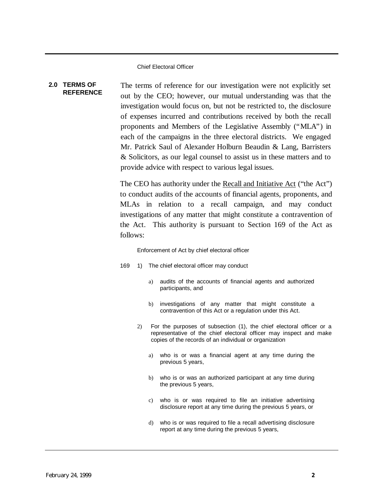Chief Electoral Officer

#### <span id="page-3-0"></span>**2.0 TERMS OF REFERENCE**

The terms of reference for our investigation were not explicitly set out by the CEO; however, our mutual understanding was that the investigation would focus on, but not be restricted to, the disclosure of expenses incurred and contributions received by both the recall proponents and Members of the Legislative Assembly ("MLA") in each of the campaigns in the three electoral districts. We engaged Mr. Patrick Saul of Alexander Holburn Beaudin & Lang, Barristers & Solicitors, as our legal counsel to assist us in these matters and to provide advice with respect to various legal issues.

The CEO has authority under the Recall and Initiative Act ("the Act") to conduct audits of the accounts of financial agents, proponents, and MLAs in relation to a recall campaign, and may conduct investigations of any matter that might constitute a contravention of the Act. This authority is pursuant to Section 169 of the Act as follows:

Enforcement of Act by chief electoral officer

- 169 1) The chief electoral officer may conduct
	- a) audits of the accounts of financial agents and authorized participants, and
	- b) investigations of any matter that might constitute a contravention of this Act or a regulation under this Act.
	- 2) For the purposes of subsection (1), the chief electoral officer or a representative of the chief electoral officer may inspect and make copies of the records of an individual or organization
		- a) who is or was a financial agent at any time during the previous 5 years,
		- b) who is or was an authorized participant at any time during the previous 5 years,
		- c) who is or was required to file an initiative advertising disclosure report at any time during the previous 5 years, or
		- d) who is or was required to file a recall advertising disclosure report at any time during the previous 5 years,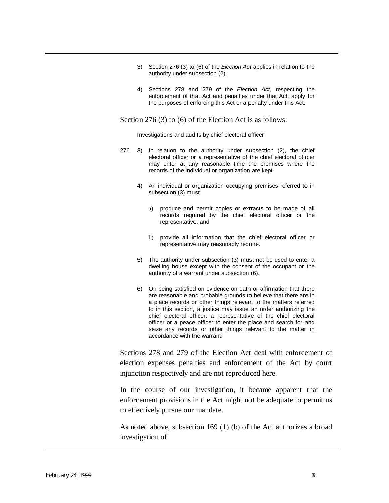- 3) Section 276 (3) to (6) of the *Election Act* applies in relation to the authority under subsection (2).
- 4) Sections 278 and 279 of the *Election Act*, respecting the enforcement of that Act and penalties under that Act, apply for the purposes of enforcing this Act or a penalty under this Act.

Section 276 (3) to (6) of the Election Act is as follows:

Investigations and audits by chief electoral officer

- 276 3) In relation to the authority under subsection (2), the chief electoral officer or a representative of the chief electoral officer may enter at any reasonable time the premises where the records of the individual or organization are kept.
	- 4) An individual or organization occupying premises referred to in subsection (3) must
		- a) produce and permit copies or extracts to be made of all records required by the chief electoral officer or the representative, and
		- b) provide all information that the chief electoral officer or representative may reasonably require.
	- 5) The authority under subsection (3) must not be used to enter a dwelling house except with the consent of the occupant or the authority of a warrant under subsection (6).
	- 6) On being satisfied on evidence on oath or affirmation that there are reasonable and probable grounds to believe that there are in a place records or other things relevant to the matters referred to in this section, a justice may issue an order authorizing the chief electoral officer, a representative of the chief electoral officer or a peace officer to enter the place and search for and seize any records or other things relevant to the matter in accordance with the warrant.

Sections 278 and 279 of the Election Act deal with enforcement of election expenses penalties and enforcement of the Act by court injunction respectively and are not reproduced here.

In the course of our investigation, it became apparent that the enforcement provisions in the Act might not be adequate to permit us to effectively pursue our mandate.

As noted above, subsection 169 (1) (b) of the Act authorizes a broad investigation of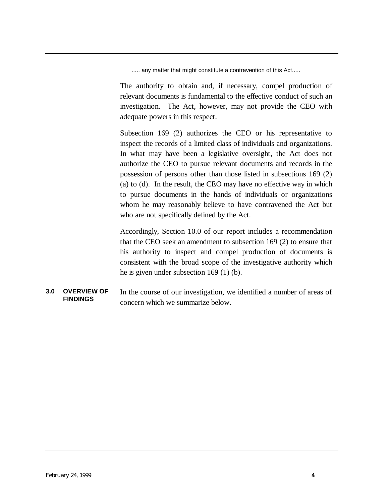..... any matter that might constitute a contravention of this Act.....

<span id="page-5-0"></span>The authority to obtain and, if necessary, compel production of relevant documents is fundamental to the effective conduct of such an investigation. The Act, however, may not provide the CEO with adequate powers in this respect.

Subsection 169 (2) authorizes the CEO or his representative to inspect the records of a limited class of individuals and organizations. In what may have been a legislative oversight, the Act does not authorize the CEO to pursue relevant documents and records in the possession of persons other than those listed in subsections 169 (2) (a) to (d). In the result, the CEO may have no effective way in which to pursue documents in the hands of individuals or organizations whom he may reasonably believe to have contravened the Act but who are not specifically defined by the Act.

Accordingly, Section 10.0 of our report includes a recommendation that the CEO seek an amendment to subsection 169 (2) to ensure that his authority to inspect and compel production of documents is consistent with the broad scope of the investigative authority which he is given under subsection 169 (1) (b).

**3.0 OVERVIEW OF FINDINGS** In the course of our investigation, we identified a number of areas of concern which we summarize below.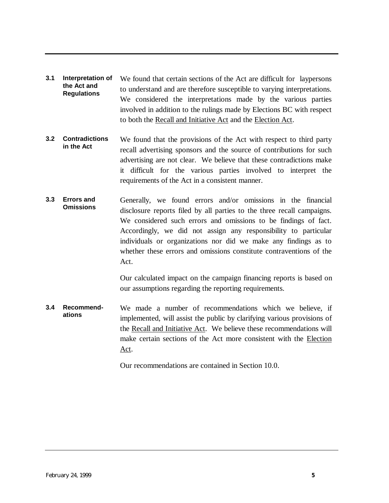- **3.1 Interpretation of the Act and Regulations** We found that certain sections of the Act are difficult for laypersons to understand and are therefore susceptible to varying interpretations. We considered the interpretations made by the various parties involved in addition to the rulings made by Elections BC with respect to both the Recall and Initiative Act and the Election Act.
- **3.2 Contradictions in the Act** We found that the provisions of the Act with respect to third party recall advertising sponsors and the source of contributions for such advertising are not clear. We believe that these contradictions make it difficult for the various parties involved to interpret the requirements of the Act in a consistent manner.
- **3.3 Errors and Omissions** Generally, we found errors and/or omissions in the financial disclosure reports filed by all parties to the three recall campaigns. We considered such errors and omissions to be findings of fact. Accordingly, we did not assign any responsibility to particular individuals or organizations nor did we make any findings as to whether these errors and omissions constitute contraventions of the Act.

Our calculated impact on the campaign financing reports is based on our assumptions regarding the reporting requirements.

**3.4 Recommendations** We made a number of recommendations which we believe, if implemented, will assist the public by clarifying various provisions of the Recall and Initiative Act. We believe these recommendations will make certain sections of the Act more consistent with the Election Act.

Our recommendations are contained in Section 10.0.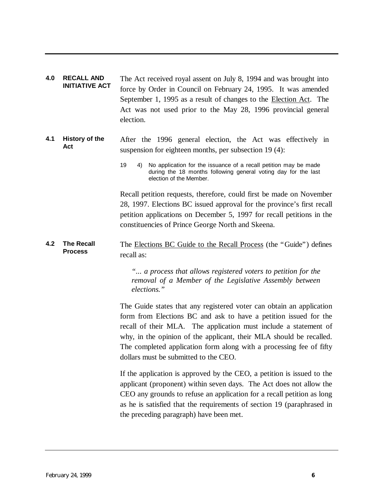<span id="page-7-0"></span>**4.0 RECALL AND INITIATIVE ACT** The Act received royal assent on July 8, 1994 and was brought into force by Order in Council on February 24, 1995. It was amended September 1, 1995 as a result of changes to the Election Act. The Act was not used prior to the May 28, 1996 provincial general election.

#### **4.1 History of the Act** After the 1996 general election, the Act was effectively in suspension for eighteen months, per subsection 19 (4):

Recall petition requests, therefore, could first be made on November 28, 1997. Elections BC issued approval for the province's first recall petition applications on December 5, 1997 for recall petitions in the constituencies of Prince George North and Skeena.

**4.2 The Recall Process** The Elections BC Guide to the Recall Process (the "Guide") defines recall as:

> *"... a process that allows registered voters to petition for the removal of a Member of the Legislative Assembly between elections."*

The Guide states that any registered voter can obtain an application form from Elections BC and ask to have a petition issued for the recall of their MLA. The application must include a statement of why, in the opinion of the applicant, their MLA should be recalled. The completed application form along with a processing fee of fifty dollars must be submitted to the CEO.

If the application is approved by the CEO, a petition is issued to the applicant (proponent) within seven days. The Act does not allow the CEO any grounds to refuse an application for a recall petition as long as he is satisfied that the requirements of section 19 (paraphrased in the preceding paragraph) have been met.

<sup>19</sup> 4) No application for the issuance of a recall petition may be made during the 18 months following general voting day for the last election of the Member.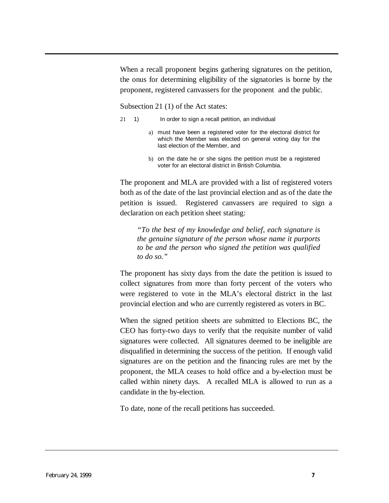When a recall proponent begins gathering signatures on the petition, the onus for determining eligibility of the signatories is borne by the proponent, registered canvassers for the proponent and the public.

Subsection 21 (1) of the Act states:

- 21 1) In order to sign a recall petition, an individual
	- a) must have been a registered voter for the electoral district for which the Member was elected on general voting day for the last election of the Member, and
	- b) on the date he or she signs the petition must be a registered voter for an electoral district in British Columbia.

The proponent and MLA are provided with a list of registered voters both as of the date of the last provincial election and as of the date the petition is issued. Registered canvassers are required to sign a declaration on each petition sheet stating:

*"To the best of my knowledge and belief, each signature is the genuine signature of the person whose name it purports to be and the person who signed the petition was qualified to do so."*

The proponent has sixty days from the date the petition is issued to collect signatures from more than forty percent of the voters who were registered to vote in the MLA's electoral district in the last provincial election and who are currently registered as voters in BC.

When the signed petition sheets are submitted to Elections BC, the CEO has forty-two days to verify that the requisite number of valid signatures were collected. All signatures deemed to be ineligible are disqualified in determining the success of the petition. If enough valid signatures are on the petition and the financing rules are met by the proponent, the MLA ceases to hold office and a by-election must be called within ninety days. A recalled MLA is allowed to run as a candidate in the by-election.

To date, none of the recall petitions has succeeded.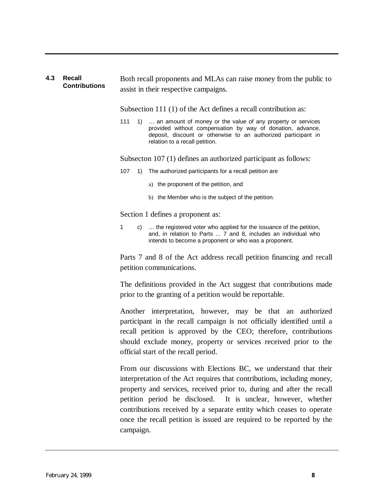#### **4.3 Recall Contributions** Both recall proponents and MLAs can raise money from the public to assist in their respective campaigns.

Subsection 111 (1) of the Act defines a recall contribution as:

111 1) ... an amount of money or the value of any property or services provided without compensation by way of donation, advance, deposit, discount or otherwise to an authorized participant in relation to a recall petition.

Subsecton 107 (1) defines an authorized participant as follows:

- 107 1) The authorized participants for a recall petition are
	- a) the proponent of the petition, and
	- b) the Member who is the subject of the petition.

Section 1 defines a proponent as:

1 c) … the registered voter who applied for the issuance of the petition, and, in relation to Parts ... 7 and 8, includes an individual who intends to become a proponent or who was a proponent.

Parts 7 and 8 of the Act address recall petition financing and recall petition communications.

The definitions provided in the Act suggest that contributions made prior to the granting of a petition would be reportable.

Another interpretation, however, may be that an authorized participant in the recall campaign is not officially identified until a recall petition is approved by the CEO; therefore, contributions should exclude money, property or services received prior to the official start of the recall period.

From our discussions with Elections BC, we understand that their interpretation of the Act requires that contributions, including money, property and services, received prior to, during and after the recall petition period be disclosed. It is unclear, however, whether contributions received by a separate entity which ceases to operate once the recall petition is issued are required to be reported by the campaign.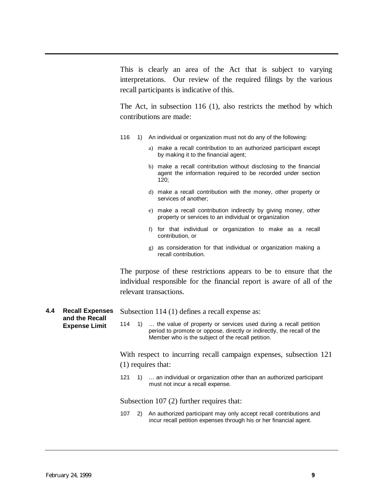This is clearly an area of the Act that is subject to varying interpretations. Our review of the required filings by the various recall participants is indicative of this.

The Act, in subsection 116 (1), also restricts the method by which contributions are made:

- 116 1) An individual or organization must not do any of the following:
	- a) make a recall contribution to an authorized participant except by making it to the financial agent;
	- b) make a recall contribution without disclosing to the financial agent the information required to be recorded under section 120;
	- d) make a recall contribution with the money, other property or services of another;
	- e) make a recall contribution indirectly by giving money, other property or services to an individual or organization
	- f) for that individual or organization to make as a recall contribution, or
	- g) as consideration for that individual or organization making a recall contribution.

The purpose of these restrictions appears to be to ensure that the individual responsible for the financial report is aware of all of the relevant transactions.

- **4.4 Recall Expenses and the Recall Expense Limit**
- Subsection 114 (1) defines a recall expense as:
- 114 1) ... the value of property or services used during a recall petition period to promote or oppose, directly or indirectly, the recall of the Member who is the subject of the recall petition.

With respect to incurring recall campaign expenses, subsection 121 (1) requires that:

121 1) … an individual or organization other than an authorized participant must not incur a recall expense.

Subsection 107 (2) further requires that:

107 2) An authorized participant may only accept recall contributions and incur recall petition expenses through his or her financial agent.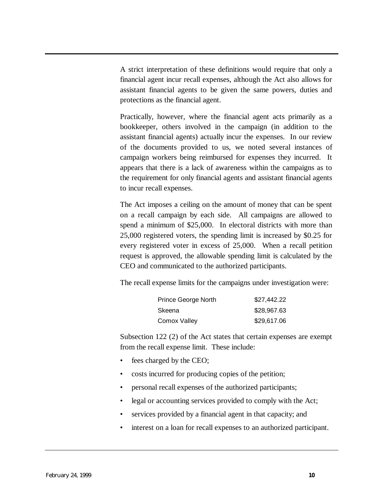A strict interpretation of these definitions would require that only a financial agent incur recall expenses, although the Act also allows for assistant financial agents to be given the same powers, duties and protections as the financial agent.

Practically, however, where the financial agent acts primarily as a bookkeeper, others involved in the campaign (in addition to the assistant financial agents) actually incur the expenses. In our review of the documents provided to us, we noted several instances of campaign workers being reimbursed for expenses they incurred. It appears that there is a lack of awareness within the campaigns as to the requirement for only financial agents and assistant financial agents to incur recall expenses.

The Act imposes a ceiling on the amount of money that can be spent on a recall campaign by each side. All campaigns are allowed to spend a minimum of \$25,000. In electoral districts with more than 25,000 registered voters, the spending limit is increased by \$0.25 for every registered voter in excess of 25,000. When a recall petition request is approved, the allowable spending limit is calculated by the CEO and communicated to the authorized participants.

The recall expense limits for the campaigns under investigation were:

| <b>Prince George North</b> | \$27,442.22 |
|----------------------------|-------------|
| Skeena                     | \$28,967.63 |
| Comox Valley               | \$29,617.06 |

Subsection 122 (2) of the Act states that certain expenses are exempt from the recall expense limit. These include:

- fees charged by the CEO;
- costs incurred for producing copies of the petition;
- personal recall expenses of the authorized participants;
- legal or accounting services provided to comply with the Act;
- services provided by a financial agent in that capacity; and
- interest on a loan for recall expenses to an authorized participant.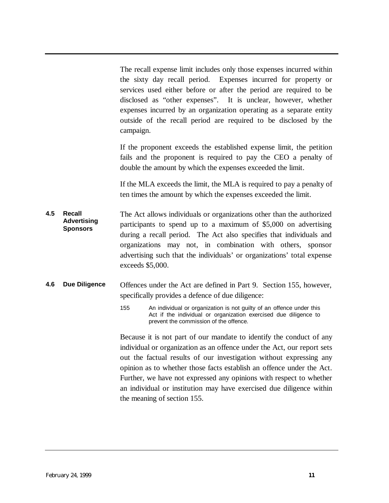The recall expense limit includes only those expenses incurred within the sixty day recall period. Expenses incurred for property or services used either before or after the period are required to be disclosed as "other expenses". It is unclear, however, whether expenses incurred by an organization operating as a separate entity outside of the recall period are required to be disclosed by the campaign.

If the proponent exceeds the established expense limit, the petition fails and the proponent is required to pay the CEO a penalty of double the amount by which the expenses exceeded the limit.

If the MLA exceeds the limit, the MLA is required to pay a penalty of ten times the amount by which the expenses exceeded the limit.

**4.5 Recall Advertising Sponsors** The Act allows individuals or organizations other than the authorized participants to spend up to a maximum of \$5,000 on advertising during a recall period. The Act also specifies that individuals and organizations may not, in combination with others, sponsor advertising such that the individuals' or organizations' total expense exceeds \$5,000.

# **4.6 Due Diligence** Offences under the Act are defined in Part 9. Section 155, however, specifically provides a defence of due diligence:

155 An individual or organization is not guilty of an offence under this Act if the individual or organization exercised due diligence to prevent the commission of the offence.

Because it is not part of our mandate to identify the conduct of any individual or organization as an offence under the Act, our report sets out the factual results of our investigation without expressing any opinion as to whether those facts establish an offence under the Act. Further, we have not expressed any opinions with respect to whether an individual or institution may have exercised due diligence within the meaning of section 155.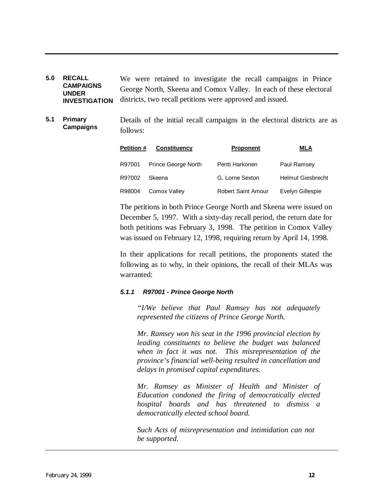- <span id="page-13-0"></span>**5.0 RECALL CAMPAIGNS UNDER INVESTIGATION** We were retained to investigate the recall campaigns in Prince George North, Skeena and Comox Valley. In each of these electoral districts, two recall petitions were approved and issued.
- **5.1 Primary Campaigns** Details of the initial recall campaigns in the electoral districts are as follows:

| <b>Petition #</b> | <b>Constituency</b> | <b>Proponent</b>          | MLA                      |
|-------------------|---------------------|---------------------------|--------------------------|
| R97001            | Prince George North | Pertti Harkonen           | Paul Ramsey              |
| R97002            | Skeena              | G. Lorne Sexton           | <b>Helmut Giesbrecht</b> |
| R98004            | Comox Valley        | <b>Robert Saint Amour</b> | Evelyn Gillespie         |

The petitions in both Prince George North and Skeena were issued on December 5, 1997. With a sixty-day recall period, the return date for both petitions was February 3, 1998. The petition in Comox Valley was issued on February 12, 1998, requiring return by April 14, 1998.

In their applications for recall petitions, the proponents stated the following as to why, in their opinions, the recall of their MLAs was warranted:

#### *5.1.1 R97001 - Prince George North*

*"I/We believe that Paul Ramsey has not adequately represented the citizens of Prince George North.*

*Mr. Ramsey won his seat in the 1996 provincial election by leading constituents to believe the budget was balanced when in fact it was not. This misrepresentation of the province's financial well-being resulted in cancellation and delays in promised capital expenditures.*

*Mr. Ramsey as Minister of Health and Minister of Education condoned the firing of democratically elected hospital boards and has threatened to dismiss a democratically elected school board.*

*Such Acts of misrepresentation and intimidation can not be supported.*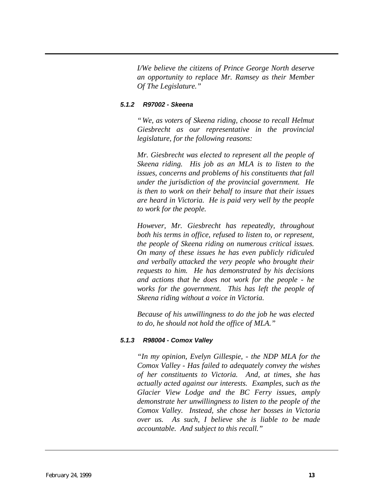*I/We believe the citizens of Prince George North deserve an opportunity to replace Mr. Ramsey as their Member Of The Legislature."*

#### *5.1.2 R97002 - Skeena*

*"We, as voters of Skeena riding, choose to recall Helmut Giesbrecht as our representative in the provincial legislature, for the following reasons:*

*Mr. Giesbrecht was elected to represent all the people of Skeena riding. His job as an MLA is to listen to the issues, concerns and problems of his constituents that fall under the jurisdiction of the provincial government. He is then to work on their behalf to insure that their issues are heard in Victoria. He is paid very well by the people to work for the people.*

*However, Mr. Giesbrecht has repeatedly, throughout both his terms in office, refused to listen to, or represent, the people of Skeena riding on numerous critical issues. On many of these issues he has even publicly ridiculed and verbally attacked the very people who brought their requests to him. He has demonstrated by his decisions and actions that he does not work for the people - he works for the government. This has left the people of Skeena riding without a voice in Victoria.*

*Because of his unwillingness to do the job he was elected to do, he should not hold the office of MLA."*

#### *5.1.3 R98004 - Comox Valley*

*"In my opinion, Evelyn Gillespie, - the NDP MLA for the Comox Valley - Has failed to adequately convey the wishes of her constituents to Victoria. And, at times, she has actually acted against our interests. Examples, such as the Glacier View Lodge and the BC Ferry issues, amply demonstrate her unwillingness to listen to the people of the Comox Valley. Instead, she chose her bosses in Victoria over us. As such, I believe she is liable to be made accountable. And subject to this recall."*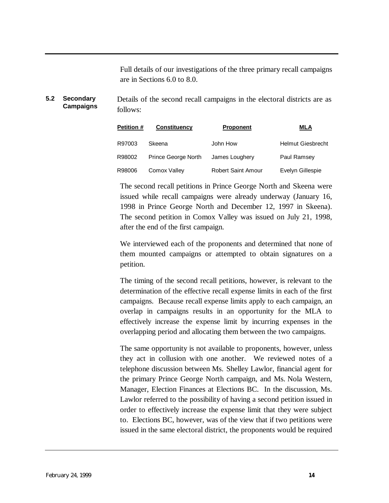Full details of our investigations of the three primary recall campaigns are in Sections 6.0 to 8.0.

**5.2 Secondary Campaigns** Details of the second recall campaigns in the electoral districts are as follows:

| <b>Petition #</b> | <b>Constituency</b> | <b>Proponent</b>          | MLA                      |
|-------------------|---------------------|---------------------------|--------------------------|
| R97003            | Skeena              | John How                  | <b>Helmut Giesbrecht</b> |
| R98002            | Prince George North | James Loughery            | Paul Ramsey              |
| R98006            | Comox Valley        | <b>Robert Saint Amour</b> | Evelyn Gillespie         |

The second recall petitions in Prince George North and Skeena were issued while recall campaigns were already underway (January 16, 1998 in Prince George North and December 12, 1997 in Skeena). The second petition in Comox Valley was issued on July 21, 1998, after the end of the first campaign.

We interviewed each of the proponents and determined that none of them mounted campaigns or attempted to obtain signatures on a petition.

The timing of the second recall petitions, however, is relevant to the determination of the effective recall expense limits in each of the first campaigns. Because recall expense limits apply to each campaign, an overlap in campaigns results in an opportunity for the MLA to effectively increase the expense limit by incurring expenses in the overlapping period and allocating them between the two campaigns.

The same opportunity is not available to proponents, however, unless they act in collusion with one another. We reviewed notes of a telephone discussion between Ms. Shelley Lawlor, financial agent for the primary Prince George North campaign, and Ms. Nola Western, Manager, Election Finances at Elections BC. In the discussion, Ms. Lawlor referred to the possibility of having a second petition issued in order to effectively increase the expense limit that they were subject to. Elections BC, however, was of the view that if two petitions were issued in the same electoral district, the proponents would be required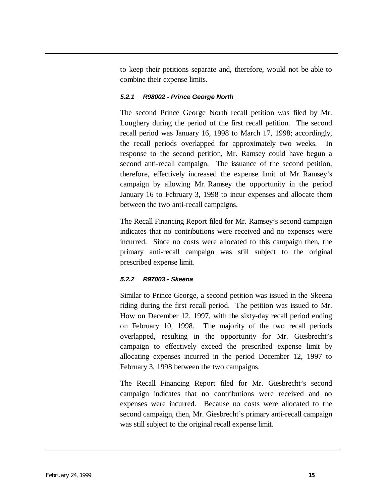to keep their petitions separate and, therefore, would not be able to combine their expense limits.

#### *5.2.1 R98002 - Prince George North*

The second Prince George North recall petition was filed by Mr. Loughery during the period of the first recall petition. The second recall period was January 16, 1998 to March 17, 1998; accordingly, the recall periods overlapped for approximately two weeks. In response to the second petition, Mr. Ramsey could have begun a second anti-recall campaign. The issuance of the second petition, therefore, effectively increased the expense limit of Mr. Ramsey's campaign by allowing Mr. Ramsey the opportunity in the period January 16 to February 3, 1998 to incur expenses and allocate them between the two anti-recall campaigns.

The Recall Financing Report filed for Mr. Ramsey's second campaign indicates that no contributions were received and no expenses were incurred. Since no costs were allocated to this campaign then, the primary anti-recall campaign was still subject to the original prescribed expense limit.

## *5.2.2 R97003 - Skeena*

Similar to Prince George, a second petition was issued in the Skeena riding during the first recall period. The petition was issued to Mr. How on December 12, 1997, with the sixty-day recall period ending on February 10, 1998. The majority of the two recall periods overlapped, resulting in the opportunity for Mr. Giesbrecht's campaign to effectively exceed the prescribed expense limit by allocating expenses incurred in the period December 12, 1997 to February 3, 1998 between the two campaigns.

The Recall Financing Report filed for Mr. Giesbrecht's second campaign indicates that no contributions were received and no expenses were incurred. Because no costs were allocated to the second campaign, then, Mr. Giesbrecht's primary anti-recall campaign was still subject to the original recall expense limit.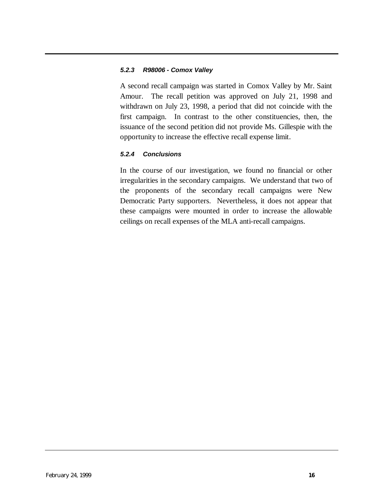#### *5.2.3 R98006 - Comox Valley*

A second recall campaign was started in Comox Valley by Mr. Saint Amour. The recall petition was approved on July 21, 1998 and withdrawn on July 23, 1998, a period that did not coincide with the first campaign. In contrast to the other constituencies, then, the issuance of the second petition did not provide Ms. Gillespie with the opportunity to increase the effective recall expense limit.

#### *5.2.4 Conclusions*

In the course of our investigation, we found no financial or other irregularities in the secondary campaigns. We understand that two of the proponents of the secondary recall campaigns were New Democratic Party supporters. Nevertheless, it does not appear that these campaigns were mounted in order to increase the allowable ceilings on recall expenses of the MLA anti-recall campaigns.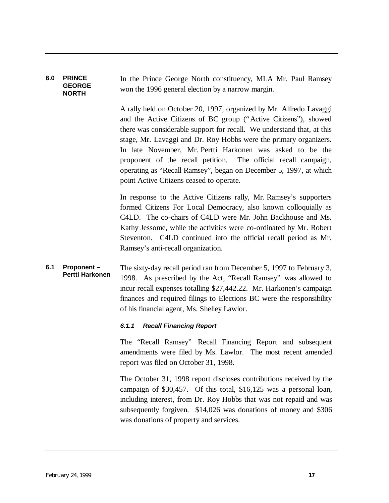#### <span id="page-18-0"></span>**6.0 PRINCE GEORGE NORTH** In the Prince George North constituency, MLA Mr. Paul Ramsey won the 1996 general election by a narrow margin.

A rally held on October 20, 1997, organized by Mr. Alfredo Lavaggi and the Active Citizens of BC group ("Active Citizens"), showed there was considerable support for recall. We understand that, at this stage, Mr. Lavaggi and Dr. Roy Hobbs were the primary organizers. In late November, Mr. Pertti Harkonen was asked to be the proponent of the recall petition. The official recall campaign, operating as "Recall Ramsey", began on December 5, 1997, at which point Active Citizens ceased to operate.

In response to the Active Citizens rally, Mr. Ramsey's supporters formed Citizens For Local Democracy, also known colloquially as C4LD. The co-chairs of C4LD were Mr. John Backhouse and Ms. Kathy Jessome, while the activities were co-ordinated by Mr. Robert Steventon. C4LD continued into the official recall period as Mr. Ramsey's anti-recall organization.

#### **6.1 Proponent – Pertti Harkonen** The sixty-day recall period ran from December 5, 1997 to February 3, 1998. As prescribed by the Act, "Recall Ramsey" was allowed to incur recall expenses totalling \$27,442.22. Mr. Harkonen's campaign finances and required filings to Elections BC were the responsibility of his financial agent, Ms. Shelley Lawlor.

#### *6.1.1 Recall Financing Report*

The "Recall Ramsey" Recall Financing Report and subsequent amendments were filed by Ms. Lawlor. The most recent amended report was filed on October 31, 1998.

The October 31, 1998 report discloses contributions received by the campaign of \$30,457. Of this total, \$16,125 was a personal loan, including interest, from Dr. Roy Hobbs that was not repaid and was subsequently forgiven. \$14,026 was donations of money and \$306 was donations of property and services.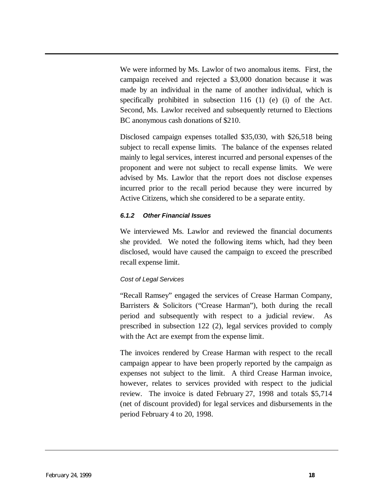We were informed by Ms. Lawlor of two anomalous items. First, the campaign received and rejected a \$3,000 donation because it was made by an individual in the name of another individual, which is specifically prohibited in subsection 116 (1) (e) (i) of the Act. Second, Ms. Lawlor received and subsequently returned to Elections BC anonymous cash donations of \$210.

Disclosed campaign expenses totalled \$35,030, with \$26,518 being subject to recall expense limits. The balance of the expenses related mainly to legal services, interest incurred and personal expenses of the proponent and were not subject to recall expense limits. We were advised by Ms. Lawlor that the report does not disclose expenses incurred prior to the recall period because they were incurred by Active Citizens, which she considered to be a separate entity.

#### *6.1.2 Other Financial Issues*

We interviewed Ms. Lawlor and reviewed the financial documents she provided. We noted the following items which, had they been disclosed, would have caused the campaign to exceed the prescribed recall expense limit.

## *Cost of Legal Services*

"Recall Ramsey" engaged the services of Crease Harman Company, Barristers & Solicitors ("Crease Harman"), both during the recall period and subsequently with respect to a judicial review. As prescribed in subsection 122 (2), legal services provided to comply with the Act are exempt from the expense limit.

The invoices rendered by Crease Harman with respect to the recall campaign appear to have been properly reported by the campaign as expenses not subject to the limit. A third Crease Harman invoice, however, relates to services provided with respect to the judicial review. The invoice is dated February 27, 1998 and totals \$5,714 (net of discount provided) for legal services and disbursements in the period February 4 to 20, 1998.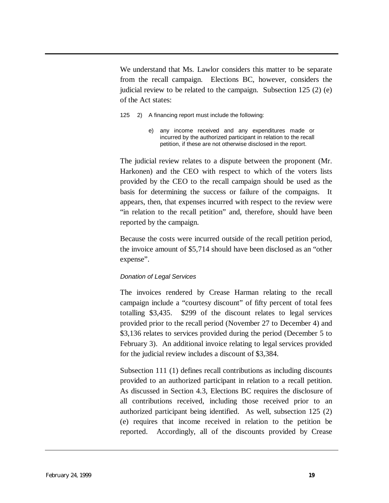We understand that Ms. Lawlor considers this matter to be separate from the recall campaign. Elections BC, however, considers the judicial review to be related to the campaign. Subsection 125 (2) (e) of the Act states:

- 125 2) A financing report must include the following:
	- e) any income received and any expenditures made or incurred by the authorized participant in relation to the recall petition, if these are not otherwise disclosed in the report.

The judicial review relates to a dispute between the proponent (Mr. Harkonen) and the CEO with respect to which of the voters lists provided by the CEO to the recall campaign should be used as the basis for determining the success or failure of the compaigns. It appears, then, that expenses incurred with respect to the review were "in relation to the recall petition" and, therefore, should have been reported by the campaign.

Because the costs were incurred outside of the recall petition period, the invoice amount of \$5,714 should have been disclosed as an "other expense".

#### *Donation of Legal Services*

The invoices rendered by Crease Harman relating to the recall campaign include a "courtesy discount" of fifty percent of total fees totalling \$3,435. \$299 of the discount relates to legal services provided prior to the recall period (November 27 to December 4) and \$3,136 relates to services provided during the period (December 5 to February 3). An additional invoice relating to legal services provided for the judicial review includes a discount of \$3,384.

Subsection 111 (1) defines recall contributions as including discounts provided to an authorized participant in relation to a recall petition. As discussed in Section 4.3, Elections BC requires the disclosure of all contributions received, including those received prior to an authorized participant being identified. As well, subsection 125 (2) (e) requires that income received in relation to the petition be reported. Accordingly, all of the discounts provided by Crease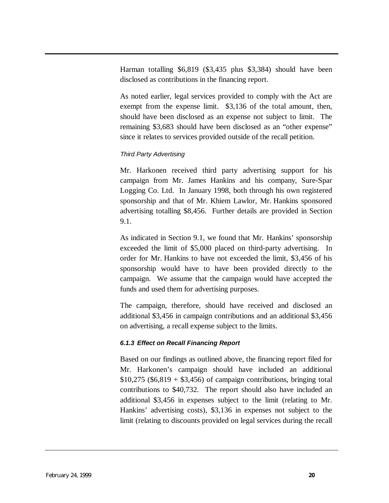Harman totalling \$6,819 (\$3,435 plus \$3,384) should have been disclosed as contributions in the financing report.

As noted earlier, legal services provided to comply with the Act are exempt from the expense limit. \$3,136 of the total amount, then, should have been disclosed as an expense not subject to limit. The remaining \$3,683 should have been disclosed as an "other expense" since it relates to services provided outside of the recall petition.

## *Third Party Advertising*

Mr. Harkonen received third party advertising support for his campaign from Mr. James Hankins and his company, Sure-Spar Logging Co. Ltd. In January 1998, both through his own registered sponsorship and that of Mr. Khiem Lawlor, Mr. Hankins sponsored advertising totalling \$8,456. Further details are provided in Section 9.1.

As indicated in Section 9.1, we found that Mr. Hankins' sponsorship exceeded the limit of \$5,000 placed on third-party advertising. In order for Mr. Hankins to have not exceeded the limit, \$3,456 of his sponsorship would have to have been provided directly to the campaign. We assume that the campaign would have accepted the funds and used them for advertising purposes.

The campaign, therefore, should have received and disclosed an additional \$3,456 in campaign contributions and an additional \$3,456 on advertising, a recall expense subject to the limits.

## *6.1.3 Effect on Recall Financing Report*

Based on our findings as outlined above, the financing report filed for Mr. Harkonen's campaign should have included an additional  $$10,275$  (\$6,819 + \$3,456) of campaign contributions, bringing total contributions to \$40,732. The report should also have included an additional \$3,456 in expenses subject to the limit (relating to Mr. Hankins' advertising costs), \$3,136 in expenses not subject to the limit (relating to discounts provided on legal services during the recall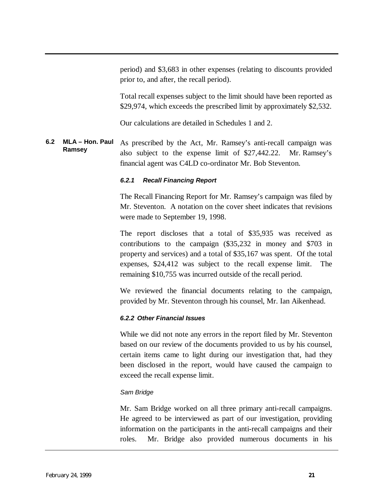period) and \$3,683 in other expenses (relating to discounts provided prior to, and after, the recall period).

Total recall expenses subject to the limit should have been reported as \$29,974, which exceeds the prescribed limit by approximately \$2,532.

Our calculations are detailed in Schedules 1 and 2.

**6.2 MLA – Hon. Paul Ramsey** As prescribed by the Act, Mr. Ramsey's anti-recall campaign was also subject to the expense limit of \$27,442.22. Mr. Ramsey's financial agent was C4LD co-ordinator Mr. Bob Steventon.

#### *6.2.1 Recall Financing Report*

The Recall Financing Report for Mr. Ramsey's campaign was filed by Mr. Steventon. A notation on the cover sheet indicates that revisions were made to September 19, 1998.

The report discloses that a total of \$35,935 was received as contributions to the campaign (\$35,232 in money and \$703 in property and services) and a total of \$35,167 was spent. Of the total expenses, \$24,412 was subject to the recall expense limit. The remaining \$10,755 was incurred outside of the recall period.

We reviewed the financial documents relating to the campaign, provided by Mr. Steventon through his counsel, Mr. Ian Aikenhead.

#### *6.2.2 Other Financial Issues*

While we did not note any errors in the report filed by Mr. Steventon based on our review of the documents provided to us by his counsel, certain items came to light during our investigation that, had they been disclosed in the report, would have caused the campaign to exceed the recall expense limit.

#### *Sam Bridge*

Mr. Sam Bridge worked on all three primary anti-recall campaigns. He agreed to be interviewed as part of our investigation, providing information on the participants in the anti-recall campaigns and their roles. Mr. Bridge also provided numerous documents in his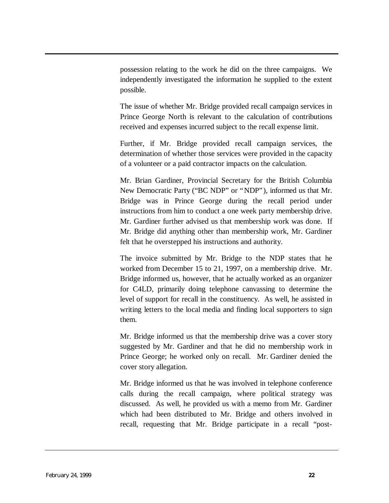possession relating to the work he did on the three campaigns. We independently investigated the information he supplied to the extent possible.

The issue of whether Mr. Bridge provided recall campaign services in Prince George North is relevant to the calculation of contributions received and expenses incurred subject to the recall expense limit.

Further, if Mr. Bridge provided recall campaign services, the determination of whether those services were provided in the capacity of a volunteer or a paid contractor impacts on the calculation.

Mr. Brian Gardiner, Provincial Secretary for the British Columbia New Democratic Party ("BC NDP" or "NDP"), informed us that Mr. Bridge was in Prince George during the recall period under instructions from him to conduct a one week party membership drive. Mr. Gardiner further advised us that membership work was done. If Mr. Bridge did anything other than membership work, Mr. Gardiner felt that he overstepped his instructions and authority.

The invoice submitted by Mr. Bridge to the NDP states that he worked from December 15 to 21, 1997, on a membership drive. Mr. Bridge informed us, however, that he actually worked as an organizer for C4LD, primarily doing telephone canvassing to determine the level of support for recall in the constituency. As well, he assisted in writing letters to the local media and finding local supporters to sign them.

Mr. Bridge informed us that the membership drive was a cover story suggested by Mr. Gardiner and that he did no membership work in Prince George; he worked only on recall. Mr. Gardiner denied the cover story allegation.

Mr. Bridge informed us that he was involved in telephone conference calls during the recall campaign, where political strategy was discussed. As well, he provided us with a memo from Mr. Gardiner which had been distributed to Mr. Bridge and others involved in recall, requesting that Mr. Bridge participate in a recall "post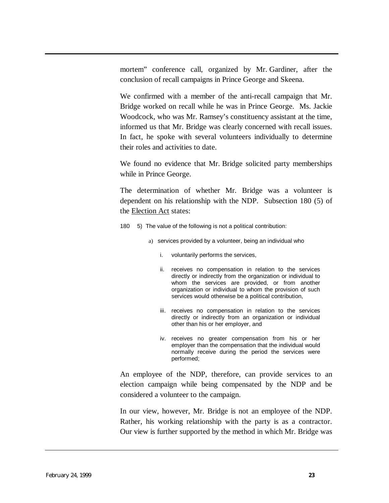mortem" conference call, organized by Mr. Gardiner, after the conclusion of recall campaigns in Prince George and Skeena.

We confirmed with a member of the anti-recall campaign that Mr. Bridge worked on recall while he was in Prince George. Ms. Jackie Woodcock, who was Mr. Ramsey's constituency assistant at the time, informed us that Mr. Bridge was clearly concerned with recall issues. In fact, he spoke with several volunteers individually to determine their roles and activities to date.

We found no evidence that Mr. Bridge solicited party memberships while in Prince George.

The determination of whether Mr. Bridge was a volunteer is dependent on his relationship with the NDP. Subsection 180 (5) of the Election Act states:

- 180 5) The value of the following is not a political contribution:
	- a) services provided by a volunteer, being an individual who
		- i. voluntarily performs the services,
		- ii. receives no compensation in relation to the services directly or indirectly from the organization or individual to whom the services are provided, or from another organization or individual to whom the provision of such services would otherwise be a political contribution,
		- iii. receives no compensation in relation to the services directly or indirectly from an organization or individual other than his or her employer, and
		- iv. receives no greater compensation from his or her employer than the compensation that the individual would normally receive during the period the services were performed;

An employee of the NDP, therefore, can provide services to an election campaign while being compensated by the NDP and be considered a volunteer to the campaign.

In our view, however, Mr. Bridge is not an employee of the NDP. Rather, his working relationship with the party is as a contractor. Our view is further supported by the method in which Mr. Bridge was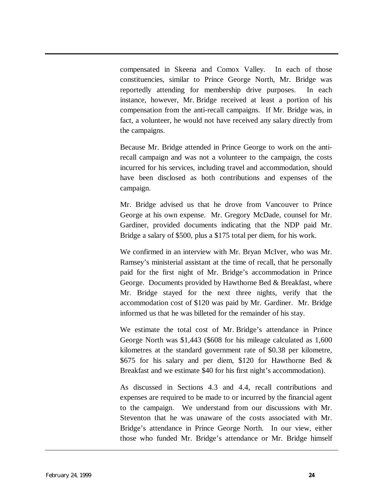compensated in Skeena and Comox Valley. In each of those constituencies, similar to Prince George North, Mr. Bridge was reportedly attending for membership drive purposes. In each instance, however, Mr. Bridge received at least a portion of his compensation from the anti-recall campaigns. If Mr. Bridge was, in fact, a volunteer, he would not have received any salary directly from the campaigns.

Because Mr. Bridge attended in Prince George to work on the antirecall campaign and was not a volunteer to the campaign, the costs incurred for his services, including travel and accommodation, should have been disclosed as both contributions and expenses of the campaign.

Mr. Bridge advised us that he drove from Vancouver to Prince George at his own expense. Mr. Gregory McDade, counsel for Mr. Gardiner, provided documents indicating that the NDP paid Mr. Bridge a salary of \$500, plus a \$175 total per diem, for his work.

We confirmed in an interview with Mr. Bryan McIver, who was Mr. Ramsey's ministerial assistant at the time of recall, that he personally paid for the first night of Mr. Bridge's accommodation in Prince George. Documents provided by Hawthorne Bed & Breakfast, where Mr. Bridge stayed for the next three nights, verify that the accommodation cost of \$120 was paid by Mr. Gardiner. Mr. Bridge informed us that he was billeted for the remainder of his stay.

We estimate the total cost of Mr. Bridge's attendance in Prince George North was \$1,443 (\$608 for his mileage calculated as 1,600 kilometres at the standard government rate of \$0.38 per kilometre, \$675 for his salary and per diem, \$120 for Hawthorne Bed & Breakfast and we estimate \$40 for his first night's accommodation).

As discussed in Sections 4.3 and 4.4, recall contributions and expenses are required to be made to or incurred by the financial agent to the campaign. We understand from our discussions with Mr. Steventon that he was unaware of the costs associated with Mr. Bridge's attendance in Prince George North. In our view, either those who funded Mr. Bridge's attendance or Mr. Bridge himself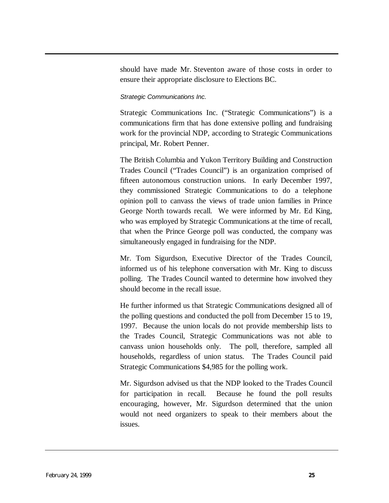should have made Mr. Steventon aware of those costs in order to ensure their appropriate disclosure to Elections BC.

#### *Strategic Communications Inc.*

Strategic Communications Inc. ("Strategic Communications") is a communications firm that has done extensive polling and fundraising work for the provincial NDP, according to Strategic Communications principal, Mr. Robert Penner.

The British Columbia and Yukon Territory Building and Construction Trades Council ("Trades Council") is an organization comprised of fifteen autonomous construction unions. In early December 1997, they commissioned Strategic Communications to do a telephone opinion poll to canvass the views of trade union families in Prince George North towards recall. We were informed by Mr. Ed King, who was employed by Strategic Communications at the time of recall, that when the Prince George poll was conducted, the company was simultaneously engaged in fundraising for the NDP.

Mr. Tom Sigurdson, Executive Director of the Trades Council, informed us of his telephone conversation with Mr. King to discuss polling. The Trades Council wanted to determine how involved they should become in the recall issue.

He further informed us that Strategic Communications designed all of the polling questions and conducted the poll from December 15 to 19, 1997. Because the union locals do not provide membership lists to the Trades Council, Strategic Communications was not able to canvass union households only. The poll, therefore, sampled all households, regardless of union status. The Trades Council paid Strategic Communications \$4,985 for the polling work.

Mr. Sigurdson advised us that the NDP looked to the Trades Council for participation in recall. Because he found the poll results encouraging, however, Mr. Sigurdson determined that the union would not need organizers to speak to their members about the issues.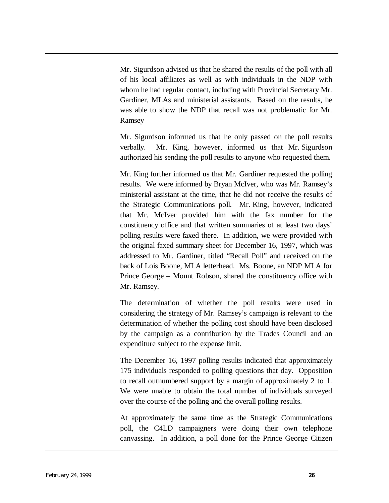Mr. Sigurdson advised us that he shared the results of the poll with all of his local affiliates as well as with individuals in the NDP with whom he had regular contact, including with Provincial Secretary Mr. Gardiner, MLAs and ministerial assistants. Based on the results, he was able to show the NDP that recall was not problematic for Mr. Ramsey

Mr. Sigurdson informed us that he only passed on the poll results verbally. Mr. King, however, informed us that Mr. Sigurdson authorized his sending the poll results to anyone who requested them.

Mr. King further informed us that Mr. Gardiner requested the polling results. We were informed by Bryan McIver, who was Mr. Ramsey's ministerial assistant at the time, that he did not receive the results of the Strategic Communications poll. Mr. King, however, indicated that Mr. McIver provided him with the fax number for the constituency office and that written summaries of at least two days' polling results were faxed there. In addition, we were provided with the original faxed summary sheet for December 16, 1997, which was addressed to Mr. Gardiner, titled "Recall Poll" and received on the back of Lois Boone, MLA letterhead. Ms. Boone, an NDP MLA for Prince George – Mount Robson, shared the constituency office with Mr. Ramsey.

The determination of whether the poll results were used in considering the strategy of Mr. Ramsey's campaign is relevant to the determination of whether the polling cost should have been disclosed by the campaign as a contribution by the Trades Council and an expenditure subject to the expense limit.

The December 16, 1997 polling results indicated that approximately 175 individuals responded to polling questions that day. Opposition to recall outnumbered support by a margin of approximately 2 to 1. We were unable to obtain the total number of individuals surveyed over the course of the polling and the overall polling results.

At approximately the same time as the Strategic Communications poll, the C4LD campaigners were doing their own telephone canvassing. In addition, a poll done for the Prince George Citizen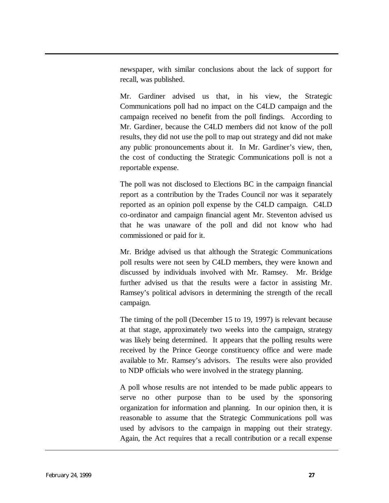newspaper, with similar conclusions about the lack of support for recall, was published.

Mr. Gardiner advised us that, in his view, the Strategic Communications poll had no impact on the C4LD campaign and the campaign received no benefit from the poll findings. According to Mr. Gardiner, because the C4LD members did not know of the poll results, they did not use the poll to map out strategy and did not make any public pronouncements about it. In Mr. Gardiner's view, then, the cost of conducting the Strategic Communications poll is not a reportable expense.

The poll was not disclosed to Elections BC in the campaign financial report as a contribution by the Trades Council nor was it separately reported as an opinion poll expense by the C4LD campaign. C4LD co-ordinator and campaign financial agent Mr. Steventon advised us that he was unaware of the poll and did not know who had commissioned or paid for it.

Mr. Bridge advised us that although the Strategic Communications poll results were not seen by C4LD members, they were known and discussed by individuals involved with Mr. Ramsey. Mr. Bridge further advised us that the results were a factor in assisting Mr. Ramsey's political advisors in determining the strength of the recall campaign.

The timing of the poll (December 15 to 19, 1997) is relevant because at that stage, approximately two weeks into the campaign, strategy was likely being determined. It appears that the polling results were received by the Prince George constituency office and were made available to Mr. Ramsey's advisors. The results were also provided to NDP officials who were involved in the strategy planning.

A poll whose results are not intended to be made public appears to serve no other purpose than to be used by the sponsoring organization for information and planning. In our opinion then, it is reasonable to assume that the Strategic Communications poll was used by advisors to the campaign in mapping out their strategy. Again, the Act requires that a recall contribution or a recall expense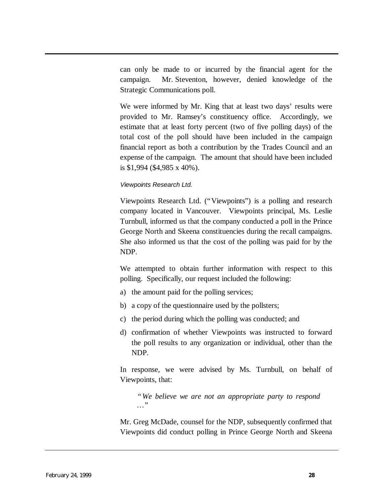can only be made to or incurred by the financial agent for the campaign. Mr. Steventon, however, denied knowledge of the Strategic Communications poll.

We were informed by Mr. King that at least two days' results were provided to Mr. Ramsey's constituency office. Accordingly, we estimate that at least forty percent (two of five polling days) of the total cost of the poll should have been included in the campaign financial report as both a contribution by the Trades Council and an expense of the campaign. The amount that should have been included is \$1,994 (\$4,985 x 40%).

#### *Viewpoints Research Ltd.*

Viewpoints Research Ltd. ("Viewpoints") is a polling and research company located in Vancouver. Viewpoints principal, Ms. Leslie Turnbull, informed us that the company conducted a poll in the Prince George North and Skeena constituencies during the recall campaigns. She also informed us that the cost of the polling was paid for by the NDP.

We attempted to obtain further information with respect to this polling. Specifically, our request included the following:

- a) the amount paid for the polling services;
- b) a copy of the questionnaire used by the pollsters;
- c) the period during which the polling was conducted; and
- d) confirmation of whether Viewpoints was instructed to forward the poll results to any organization or individual, other than the NDP.

In response, we were advised by Ms. Turnbull, on behalf of Viewpoints, that:

*"We believe we are not an appropriate party to respond … "*

Mr. Greg McDade, counsel for the NDP, subsequently confirmed that Viewpoints did conduct polling in Prince George North and Skeena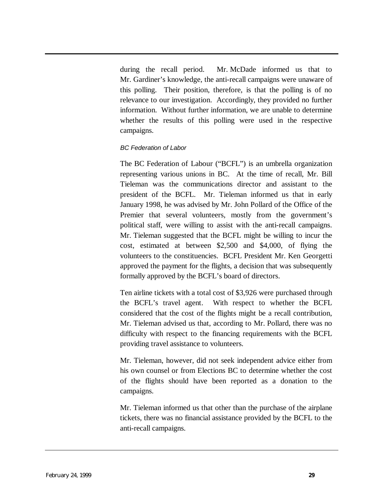during the recall period. Mr. McDade informed us that to Mr. Gardiner's knowledge, the anti-recall campaigns were unaware of this polling. Their position, therefore, is that the polling is of no relevance to our investigation. Accordingly, they provided no further information. Without further information, we are unable to determine whether the results of this polling were used in the respective campaigns.

#### *BC Federation of Labor*

The BC Federation of Labour ("BCFL") is an umbrella organization representing various unions in BC. At the time of recall, Mr. Bill Tieleman was the communications director and assistant to the president of the BCFL. Mr. Tieleman informed us that in early January 1998, he was advised by Mr. John Pollard of the Office of the Premier that several volunteers, mostly from the government's political staff, were willing to assist with the anti-recall campaigns. Mr. Tieleman suggested that the BCFL might be willing to incur the cost, estimated at between \$2,500 and \$4,000, of flying the volunteers to the constituencies. BCFL President Mr. Ken Georgetti approved the payment for the flights, a decision that was subsequently formally approved by the BCFL's board of directors.

Ten airline tickets with a total cost of \$3,926 were purchased through the BCFL's travel agent. With respect to whether the BCFL considered that the cost of the flights might be a recall contribution, Mr. Tieleman advised us that, according to Mr. Pollard, there was no difficulty with respect to the financing requirements with the BCFL providing travel assistance to volunteers.

Mr. Tieleman, however, did not seek independent advice either from his own counsel or from Elections BC to determine whether the cost of the flights should have been reported as a donation to the campaigns.

Mr. Tieleman informed us that other than the purchase of the airplane tickets, there was no financial assistance provided by the BCFL to the anti-recall campaigns.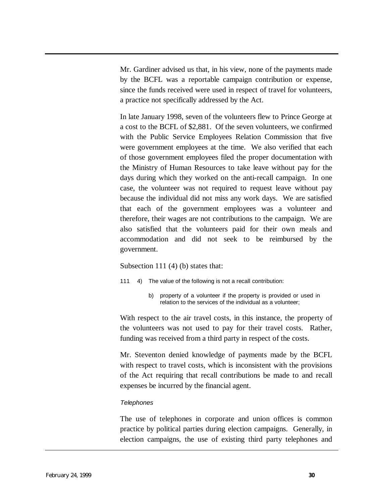Mr. Gardiner advised us that, in his view, none of the payments made by the BCFL was a reportable campaign contribution or expense, since the funds received were used in respect of travel for volunteers, a practice not specifically addressed by the Act.

In late January 1998, seven of the volunteers flew to Prince George at a cost to the BCFL of \$2,881. Of the seven volunteers, we confirmed with the Public Service Employees Relation Commission that five were government employees at the time. We also verified that each of those government employees filed the proper documentation with the Ministry of Human Resources to take leave without pay for the days during which they worked on the anti-recall campaign. In one case, the volunteer was not required to request leave without pay because the individual did not miss any work days. We are satisfied that each of the government employees was a volunteer and therefore, their wages are not contributions to the campaign. We are also satisfied that the volunteers paid for their own meals and accommodation and did not seek to be reimbursed by the government.

Subsection 111 (4) (b) states that:

- 111 4) The value of the following is not a recall contribution:
	- b) property of a volunteer if the property is provided or used in relation to the services of the individual as a volunteer;

With respect to the air travel costs, in this instance, the property of the volunteers was not used to pay for their travel costs. Rather, funding was received from a third party in respect of the costs.

Mr. Steventon denied knowledge of payments made by the BCFL with respect to travel costs, which is inconsistent with the provisions of the Act requiring that recall contributions be made to and recall expenses be incurred by the financial agent.

#### *Telephones*

The use of telephones in corporate and union offices is common practice by political parties during election campaigns. Generally, in election campaigns, the use of existing third party telephones and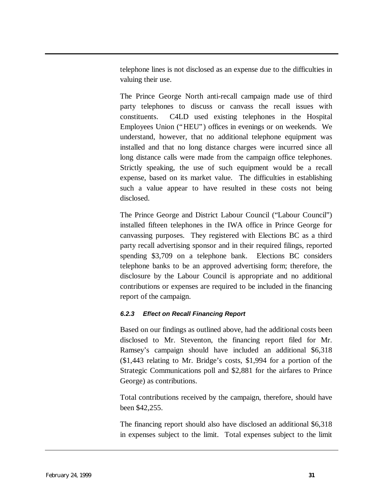telephone lines is not disclosed as an expense due to the difficulties in valuing their use.

The Prince George North anti-recall campaign made use of third party telephones to discuss or canvass the recall issues with constituents. C4LD used existing telephones in the Hospital Employees Union ("HEU") offices in evenings or on weekends. We understand, however, that no additional telephone equipment was installed and that no long distance charges were incurred since all long distance calls were made from the campaign office telephones. Strictly speaking, the use of such equipment would be a recall expense, based on its market value. The difficulties in establishing such a value appear to have resulted in these costs not being disclosed.

The Prince George and District Labour Council ("Labour Council") installed fifteen telephones in the IWA office in Prince George for canvassing purposes. They registered with Elections BC as a third party recall advertising sponsor and in their required filings, reported spending \$3,709 on a telephone bank. Elections BC considers telephone banks to be an approved advertising form; therefore, the disclosure by the Labour Council is appropriate and no additional contributions or expenses are required to be included in the financing report of the campaign.

## *6.2.3 Effect on Recall Financing Report*

Based on our findings as outlined above, had the additional costs been disclosed to Mr. Steventon, the financing report filed for Mr. Ramsey's campaign should have included an additional \$6,318 (\$1,443 relating to Mr. Bridge's costs, \$1,994 for a portion of the Strategic Communications poll and \$2,881 for the airfares to Prince George) as contributions.

Total contributions received by the campaign, therefore, should have been \$42,255.

The financing report should also have disclosed an additional \$6,318 in expenses subject to the limit. Total expenses subject to the limit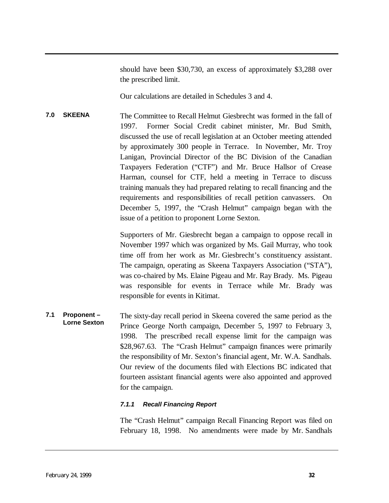should have been \$30,730, an excess of approximately \$3,288 over the prescribed limit.

Our calculations are detailed in Schedules 3 and 4.

<span id="page-33-0"></span>**7.0 SKEENA** The Committee to Recall Helmut Giesbrecht was formed in the fall of 1997. Former Social Credit cabinet minister, Mr. Bud Smith, discussed the use of recall legislation at an October meeting attended by approximately 300 people in Terrace. In November, Mr. Troy Lanigan, Provincial Director of the BC Division of the Canadian Taxpayers Federation ("CTF") and Mr. Bruce Hallsor of Crease Harman, counsel for CTF, held a meeting in Terrace to discuss training manuals they had prepared relating to recall financing and the requirements and responsibilities of recall petition canvassers. On December 5, 1997, the "Crash Helmut" campaign began with the issue of a petition to proponent Lorne Sexton.

> Supporters of Mr. Giesbrecht began a campaign to oppose recall in November 1997 which was organized by Ms. Gail Murray, who took time off from her work as Mr. Giesbrecht's constituency assistant. The campaign, operating as Skeena Taxpayers Association ("STA"), was co-chaired by Ms. Elaine Pigeau and Mr. Ray Brady. Ms. Pigeau was responsible for events in Terrace while Mr. Brady was responsible for events in Kitimat.

**7.1 Proponent – Lorne Sexton** The sixty-day recall period in Skeena covered the same period as the Prince George North campaign, December 5, 1997 to February 3, 1998. The prescribed recall expense limit for the campaign was \$28,967.63. The "Crash Helmut" campaign finances were primarily the responsibility of Mr. Sexton's financial agent, Mr. W.A. Sandhals. Our review of the documents filed with Elections BC indicated that fourteen assistant financial agents were also appointed and approved for the campaign.

#### *7.1.1 Recall Financing Report*

The "Crash Helmut" campaign Recall Financing Report was filed on February 18, 1998. No amendments were made by Mr. Sandhals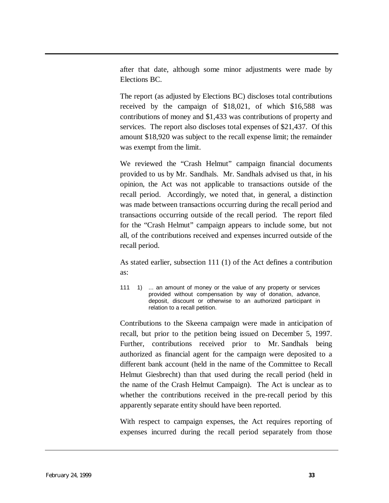after that date, although some minor adjustments were made by Elections BC.

The report (as adjusted by Elections BC) discloses total contributions received by the campaign of \$18,021, of which \$16,588 was contributions of money and \$1,433 was contributions of property and services. The report also discloses total expenses of \$21,437. Of this amount \$18,920 was subject to the recall expense limit; the remainder was exempt from the limit.

We reviewed the "Crash Helmut" campaign financial documents provided to us by Mr. Sandhals. Mr. Sandhals advised us that, in his opinion, the Act was not applicable to transactions outside of the recall period. Accordingly, we noted that, in general, a distinction was made between transactions occurring during the recall period and transactions occurring outside of the recall period. The report filed for the "Crash Helmut" campaign appears to include some, but not all, of the contributions received and expenses incurred outside of the recall period.

As stated earlier, subsection 111 (1) of the Act defines a contribution as:

111 1) ... an amount of money or the value of any property or services provided without compensation by way of donation, advance, deposit, discount or otherwise to an authorized participant in relation to a recall petition.

Contributions to the Skeena campaign were made in anticipation of recall, but prior to the petition being issued on December 5, 1997. Further, contributions received prior to Mr. Sandhals being authorized as financial agent for the campaign were deposited to a different bank account (held in the name of the Committee to Recall Helmut Giesbrecht) than that used during the recall period (held in the name of the Crash Helmut Campaign). The Act is unclear as to whether the contributions received in the pre-recall period by this apparently separate entity should have been reported.

With respect to campaign expenses, the Act requires reporting of expenses incurred during the recall period separately from those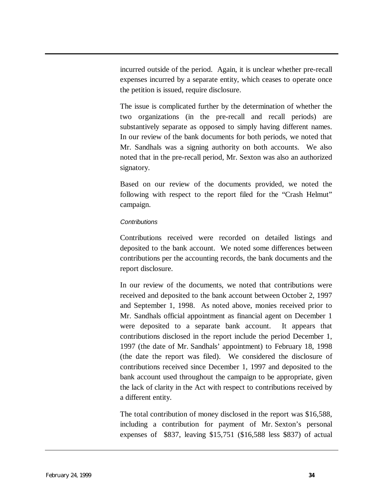incurred outside of the period. Again, it is unclear whether pre-recall expenses incurred by a separate entity, which ceases to operate once the petition is issued, require disclosure.

The issue is complicated further by the determination of whether the two organizations (in the pre-recall and recall periods) are substantively separate as opposed to simply having different names. In our review of the bank documents for both periods, we noted that Mr. Sandhals was a signing authority on both accounts. We also noted that in the pre-recall period, Mr. Sexton was also an authorized signatory.

Based on our review of the documents provided, we noted the following with respect to the report filed for the "Crash Helmut" campaign.

#### *Contributions*

Contributions received were recorded on detailed listings and deposited to the bank account. We noted some differences between contributions per the accounting records, the bank documents and the report disclosure.

In our review of the documents, we noted that contributions were received and deposited to the bank account between October 2, 1997 and September 1, 1998. As noted above, monies received prior to Mr. Sandhals official appointment as financial agent on December 1 were deposited to a separate bank account. It appears that contributions disclosed in the report include the period December 1, 1997 (the date of Mr. Sandhals' appointment) to February 18, 1998 (the date the report was filed). We considered the disclosure of contributions received since December 1, 1997 and deposited to the bank account used throughout the campaign to be appropriate, given the lack of clarity in the Act with respect to contributions received by a different entity.

The total contribution of money disclosed in the report was \$16,588, including a contribution for payment of Mr. Sexton's personal expenses of \$837, leaving \$15,751 (\$16,588 less \$837) of actual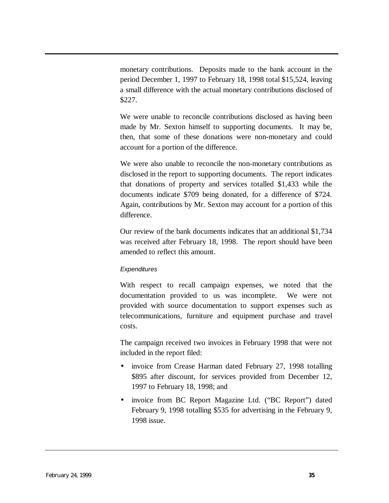monetary contributions. Deposits made to the bank account in the period December 1, 1997 to February 18, 1998 total \$15,524, leaving a small difference with the actual monetary contributions disclosed of \$227.

We were unable to reconcile contributions disclosed as having been made by Mr. Sexton himself to supporting documents. It may be, then, that some of these donations were non-monetary and could account for a portion of the difference.

We were also unable to reconcile the non-monetary contributions as disclosed in the report to supporting documents. The report indicates that donations of property and services totalled \$1,433 while the documents indicate \$709 being donated, for a difference of \$724. Again, contributions by Mr. Sexton may account for a portion of this difference.

Our review of the bank documents indicates that an additional \$1,734 was received after February 18, 1998. The report should have been amended to reflect this amount.

## *Expenditures*

With respect to recall campaign expenses, we noted that the documentation provided to us was incomplete. We were not provided with source documentation to support expenses such as telecommunications, furniture and equipment purchase and travel costs.

The campaign received two invoices in February 1998 that were not included in the report filed:

- invoice from Crease Harman dated February 27, 1998 totalling \$895 after discount, for services provided from December 12, 1997 to February 18, 1998; and
- invoice from BC Report Magazine Ltd. ("BC Report") dated February 9, 1998 totalling \$535 for advertising in the February 9, 1998 issue.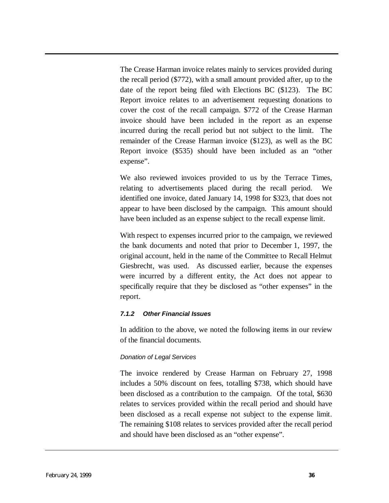The Crease Harman invoice relates mainly to services provided during the recall period (\$772), with a small amount provided after, up to the date of the report being filed with Elections BC (\$123). The BC Report invoice relates to an advertisement requesting donations to cover the cost of the recall campaign. \$772 of the Crease Harman invoice should have been included in the report as an expense incurred during the recall period but not subject to the limit. The remainder of the Crease Harman invoice (\$123), as well as the BC Report invoice (\$535) should have been included as an "other expense".

We also reviewed invoices provided to us by the Terrace Times, relating to advertisements placed during the recall period. We identified one invoice, dated January 14, 1998 for \$323, that does not appear to have been disclosed by the campaign. This amount should have been included as an expense subject to the recall expense limit.

With respect to expenses incurred prior to the campaign, we reviewed the bank documents and noted that prior to December 1, 1997, the original account, held in the name of the Committee to Recall Helmut Giesbrecht, was used. As discussed earlier, because the expenses were incurred by a different entity, the Act does not appear to specifically require that they be disclosed as "other expenses" in the report.

#### *7.1.2 Other Financial Issues*

In addition to the above, we noted the following items in our review of the financial documents.

#### *Donation of Legal Services*

The invoice rendered by Crease Harman on February 27, 1998 includes a 50% discount on fees, totalling \$738, which should have been disclosed as a contribution to the campaign. Of the total, \$630 relates to services provided within the recall period and should have been disclosed as a recall expense not subject to the expense limit. The remaining \$108 relates to services provided after the recall period and should have been disclosed as an "other expense".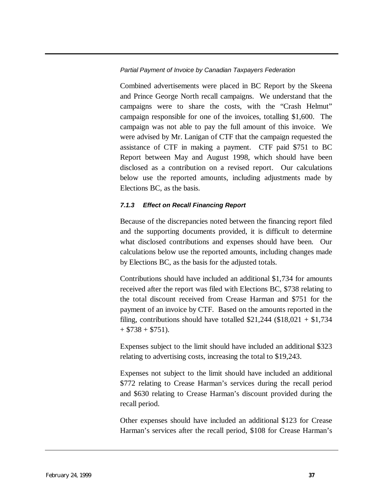#### *Partial Payment of Invoice by Canadian Taxpayers Federation*

Combined advertisements were placed in BC Report by the Skeena and Prince George North recall campaigns. We understand that the campaigns were to share the costs, with the "Crash Helmut" campaign responsible for one of the invoices, totalling \$1,600. The campaign was not able to pay the full amount of this invoice. We were advised by Mr. Lanigan of CTF that the campaign requested the assistance of CTF in making a payment. CTF paid \$751 to BC Report between May and August 1998, which should have been disclosed as a contribution on a revised report. Our calculations below use the reported amounts, including adjustments made by Elections BC, as the basis.

#### *7.1.3 Effect on Recall Financing Report*

Because of the discrepancies noted between the financing report filed and the supporting documents provided, it is difficult to determine what disclosed contributions and expenses should have been. Our calculations below use the reported amounts, including changes made by Elections BC, as the basis for the adjusted totals.

Contributions should have included an additional \$1,734 for amounts received after the report was filed with Elections BC, \$738 relating to the total discount received from Crease Harman and \$751 for the payment of an invoice by CTF. Based on the amounts reported in the filing, contributions should have totalled  $$21,244$  (\$18,021 + \$1,734)  $+$  \$738 + \$751).

Expenses subject to the limit should have included an additional \$323 relating to advertising costs, increasing the total to \$19,243.

Expenses not subject to the limit should have included an additional \$772 relating to Crease Harman's services during the recall period and \$630 relating to Crease Harman's discount provided during the recall period.

Other expenses should have included an additional \$123 for Crease Harman's services after the recall period, \$108 for Crease Harman's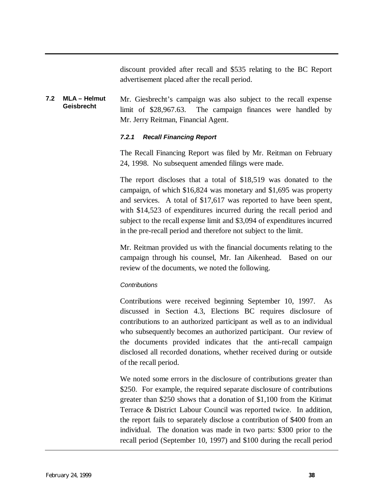discount provided after recall and \$535 relating to the BC Report advertisement placed after the recall period.

#### **7.2 MLA – Helmut Geisbrecht** Mr. Giesbrecht's campaign was also subject to the recall expense limit of \$28,967.63. The campaign finances were handled by Mr. Jerry Reitman, Financial Agent.

#### *7.2.1 Recall Financing Report*

The Recall Financing Report was filed by Mr. Reitman on February 24, 1998. No subsequent amended filings were made.

The report discloses that a total of \$18,519 was donated to the campaign, of which \$16,824 was monetary and \$1,695 was property and services. A total of \$17,617 was reported to have been spent, with \$14,523 of expenditures incurred during the recall period and subject to the recall expense limit and \$3,094 of expenditures incurred in the pre-recall period and therefore not subject to the limit.

Mr. Reitman provided us with the financial documents relating to the campaign through his counsel, Mr. Ian Aikenhead. Based on our review of the documents, we noted the following.

#### *Contributions*

Contributions were received beginning September 10, 1997. As discussed in Section 4.3, Elections BC requires disclosure of contributions to an authorized participant as well as to an individual who subsequently becomes an authorized participant. Our review of the documents provided indicates that the anti-recall campaign disclosed all recorded donations, whether received during or outside of the recall period.

We noted some errors in the disclosure of contributions greater than \$250. For example, the required separate disclosure of contributions greater than \$250 shows that a donation of \$1,100 from the Kitimat Terrace & District Labour Council was reported twice. In addition, the report fails to separately disclose a contribution of \$400 from an individual. The donation was made in two parts: \$300 prior to the recall period (September 10, 1997) and \$100 during the recall period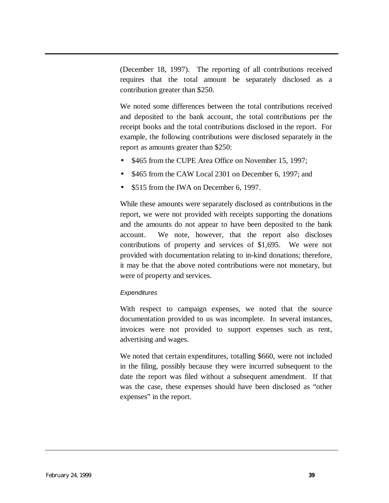(December 18, 1997). The reporting of all contributions received requires that the total amount be separately disclosed as a contribution greater than \$250.

We noted some differences between the total contributions received and deposited to the bank account, the total contributions per the receipt books and the total contributions disclosed in the report. For example, the following contributions were disclosed separately in the report as amounts greater than \$250:

- \$465 from the CUPE Area Office on November 15, 1997;
- \$465 from the CAW Local 2301 on December 6, 1997; and
- \$515 from the IWA on December 6, 1997.

While these amounts were separately disclosed as contributions in the report, we were not provided with receipts supporting the donations and the amounts do not appear to have been deposited to the bank account. We note, however, that the report also discloses contributions of property and services of \$1,695. We were not provided with documentation relating to in-kind donations; therefore, it may be that the above noted contributions were not monetary, but were of property and services.

## *Expenditures*

With respect to campaign expenses, we noted that the source documentation provided to us was incomplete. In several instances, invoices were not provided to support expenses such as rent, advertising and wages.

We noted that certain expenditures, totalling \$660, were not included in the filing, possibly because they were incurred subsequent to the date the report was filed without a subsequent amendment. If that was the case, these expenses should have been disclosed as "other expenses" in the report.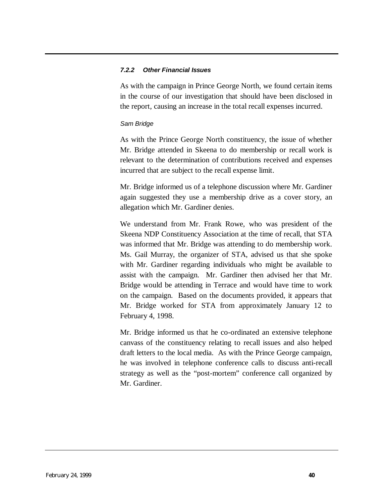#### *7.2.2 Other Financial Issues*

As with the campaign in Prince George North, we found certain items in the course of our investigation that should have been disclosed in the report, causing an increase in the total recall expenses incurred.

#### *Sam Bridge*

As with the Prince George North constituency, the issue of whether Mr. Bridge attended in Skeena to do membership or recall work is relevant to the determination of contributions received and expenses incurred that are subject to the recall expense limit.

Mr. Bridge informed us of a telephone discussion where Mr. Gardiner again suggested they use a membership drive as a cover story, an allegation which Mr. Gardiner denies.

We understand from Mr. Frank Rowe, who was president of the Skeena NDP Constituency Association at the time of recall, that STA was informed that Mr. Bridge was attending to do membership work. Ms. Gail Murray, the organizer of STA, advised us that she spoke with Mr. Gardiner regarding individuals who might be available to assist with the campaign. Mr. Gardiner then advised her that Mr. Bridge would be attending in Terrace and would have time to work on the campaign. Based on the documents provided, it appears that Mr. Bridge worked for STA from approximately January 12 to February 4, 1998.

Mr. Bridge informed us that he co-ordinated an extensive telephone canvass of the constituency relating to recall issues and also helped draft letters to the local media. As with the Prince George campaign, he was involved in telephone conference calls to discuss anti-recall strategy as well as the "post-mortem" conference call organized by Mr. Gardiner.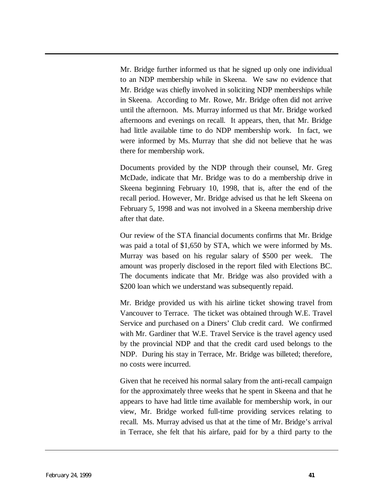Mr. Bridge further informed us that he signed up only one individual to an NDP membership while in Skeena. We saw no evidence that Mr. Bridge was chiefly involved in soliciting NDP memberships while in Skeena. According to Mr. Rowe, Mr. Bridge often did not arrive until the afternoon. Ms. Murray informed us that Mr. Bridge worked afternoons and evenings on recall. It appears, then, that Mr. Bridge had little available time to do NDP membership work. In fact, we were informed by Ms. Murray that she did not believe that he was there for membership work.

Documents provided by the NDP through their counsel, Mr. Greg McDade, indicate that Mr. Bridge was to do a membership drive in Skeena beginning February 10, 1998, that is, after the end of the recall period. However, Mr. Bridge advised us that he left Skeena on February 5, 1998 and was not involved in a Skeena membership drive after that date.

Our review of the STA financial documents confirms that Mr. Bridge was paid a total of \$1,650 by STA, which we were informed by Ms. Murray was based on his regular salary of \$500 per week. The amount was properly disclosed in the report filed with Elections BC. The documents indicate that Mr. Bridge was also provided with a \$200 loan which we understand was subsequently repaid.

Mr. Bridge provided us with his airline ticket showing travel from Vancouver to Terrace. The ticket was obtained through W.E. Travel Service and purchased on a Diners' Club credit card. We confirmed with Mr. Gardiner that W.E. Travel Service is the travel agency used by the provincial NDP and that the credit card used belongs to the NDP. During his stay in Terrace, Mr. Bridge was billeted; therefore, no costs were incurred.

Given that he received his normal salary from the anti-recall campaign for the approximately three weeks that he spent in Skeena and that he appears to have had little time available for membership work, in our view, Mr. Bridge worked full-time providing services relating to recall. Ms. Murray advised us that at the time of Mr. Bridge's arrival in Terrace, she felt that his airfare, paid for by a third party to the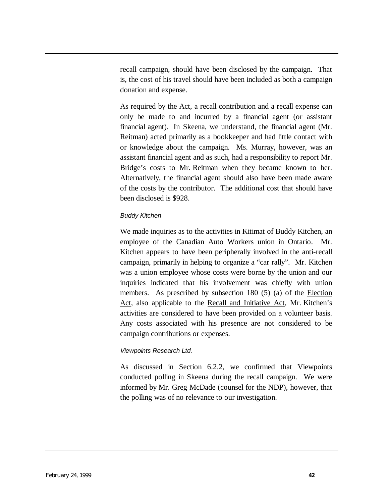recall campaign, should have been disclosed by the campaign. That is, the cost of his travel should have been included as both a campaign donation and expense.

As required by the Act, a recall contribution and a recall expense can only be made to and incurred by a financial agent (or assistant financial agent). In Skeena, we understand, the financial agent (Mr. Reitman) acted primarily as a bookkeeper and had little contact with or knowledge about the campaign. Ms. Murray, however, was an assistant financial agent and as such, had a responsibility to report Mr. Bridge's costs to Mr. Reitman when they became known to her. Alternatively, the financial agent should also have been made aware of the costs by the contributor. The additional cost that should have been disclosed is \$928.

## *Buddy Kitchen*

We made inquiries as to the activities in Kitimat of Buddy Kitchen, an employee of the Canadian Auto Workers union in Ontario. Mr. Kitchen appears to have been peripherally involved in the anti-recall campaign, primarily in helping to organize a "car rally". Mr. Kitchen was a union employee whose costs were borne by the union and our inquiries indicated that his involvement was chiefly with union members. As prescribed by subsection 180 (5) (a) of the Election Act, also applicable to the Recall and Initiative Act, Mr. Kitchen's activities are considered to have been provided on a volunteer basis. Any costs associated with his presence are not considered to be campaign contributions or expenses.

#### *Viewpoints Research Ltd.*

As discussed in Section 6.2.2, we confirmed that Viewpoints conducted polling in Skeena during the recall campaign. We were informed by Mr. Greg McDade (counsel for the NDP), however, that the polling was of no relevance to our investigation.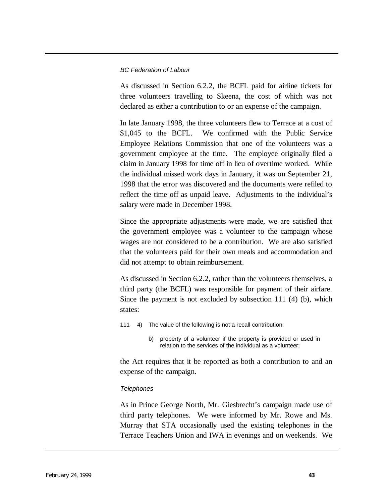#### *BC Federation of Labour*

As discussed in Section 6.2.2, the BCFL paid for airline tickets for three volunteers travelling to Skeena, the cost of which was not declared as either a contribution to or an expense of the campaign.

In late January 1998, the three volunteers flew to Terrace at a cost of \$1,045 to the BCFL. We confirmed with the Public Service Employee Relations Commission that one of the volunteers was a government employee at the time. The employee originally filed a claim in January 1998 for time off in lieu of overtime worked. While the individual missed work days in January, it was on September 21, 1998 that the error was discovered and the documents were refiled to reflect the time off as unpaid leave. Adjustments to the individual's salary were made in December 1998.

Since the appropriate adjustments were made, we are satisfied that the government employee was a volunteer to the campaign whose wages are not considered to be a contribution. We are also satisfied that the volunteers paid for their own meals and accommodation and did not attempt to obtain reimbursement.

As discussed in Section 6.2.2, rather than the volunteers themselves, a third party (the BCFL) was responsible for payment of their airfare. Since the payment is not excluded by subsection 111 (4) (b), which states:

- 111 4) The value of the following is not a recall contribution:
	- b) property of a volunteer if the property is provided or used in relation to the services of the individual as a volunteer;

the Act requires that it be reported as both a contribution to and an expense of the campaign.

#### *Telephones*

As in Prince George North, Mr. Giesbrecht's campaign made use of third party telephones. We were informed by Mr. Rowe and Ms. Murray that STA occasionally used the existing telephones in the Terrace Teachers Union and IWA in evenings and on weekends. We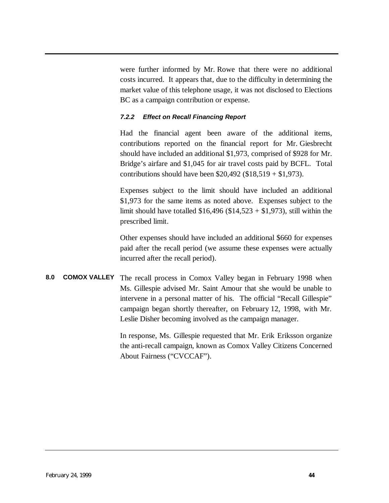<span id="page-45-0"></span>were further informed by Mr. Rowe that there were no additional costs incurred. It appears that, due to the difficulty in determining the market value of this telephone usage, it was not disclosed to Elections BC as a campaign contribution or expense.

## *7.2.2 Effect on Recall Financing Report*

Had the financial agent been aware of the additional items, contributions reported on the financial report for Mr. Giesbrecht should have included an additional \$1,973, comprised of \$928 for Mr. Bridge's airfare and \$1,045 for air travel costs paid by BCFL. Total contributions should have been  $$20,492 ($18,519 + $1,973)$ .

Expenses subject to the limit should have included an additional \$1,973 for the same items as noted above. Expenses subject to the limit should have totalled  $$16,496$  ( $$14,523 + $1,973$ ), still within the prescribed limit.

Other expenses should have included an additional \$660 for expenses paid after the recall period (we assume these expenses were actually incurred after the recall period).

**8.0 COMOX VALLEY** The recall process in Comox Valley began in February 1998 when Ms. Gillespie advised Mr. Saint Amour that she would be unable to intervene in a personal matter of his. The official "Recall Gillespie" campaign began shortly thereafter, on February 12, 1998, with Mr. Leslie Disher becoming involved as the campaign manager.

> In response, Ms. Gillespie requested that Mr. Erik Eriksson organize the anti-recall campaign, known as Comox Valley Citizens Concerned About Fairness ("CVCCAF").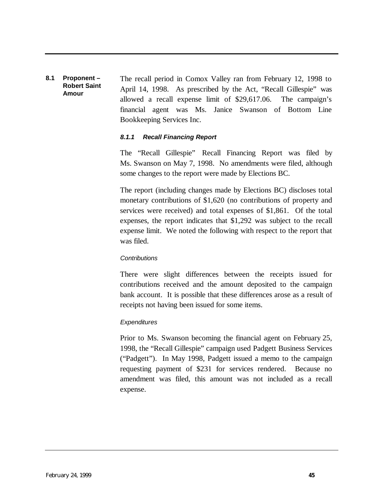#### **8.1 Proponent – Robert Saint Amour** The recall period in Comox Valley ran from February 12, 1998 to April 14, 1998. As prescribed by the Act, "Recall Gillespie" was allowed a recall expense limit of \$29,617.06. The campaign's financial agent was Ms. Janice Swanson of Bottom Line Bookkeeping Services Inc.

#### *8.1.1 Recall Financing Report*

The "Recall Gillespie" Recall Financing Report was filed by Ms. Swanson on May 7, 1998. No amendments were filed, although some changes to the report were made by Elections BC.

The report (including changes made by Elections BC) discloses total monetary contributions of \$1,620 (no contributions of property and services were received) and total expenses of \$1,861. Of the total expenses, the report indicates that \$1,292 was subject to the recall expense limit. We noted the following with respect to the report that was filed.

#### *Contributions*

There were slight differences between the receipts issued for contributions received and the amount deposited to the campaign bank account. It is possible that these differences arose as a result of receipts not having been issued for some items.

#### *Expenditures*

Prior to Ms. Swanson becoming the financial agent on February 25, 1998, the "Recall Gillespie" campaign used Padgett Business Services ("Padgett"). In May 1998, Padgett issued a memo to the campaign requesting payment of \$231 for services rendered. Because no amendment was filed, this amount was not included as a recall expense.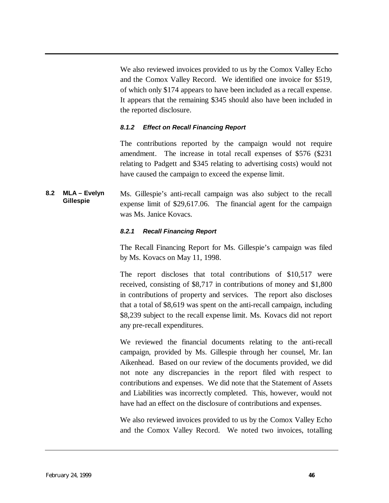We also reviewed invoices provided to us by the Comox Valley Echo and the Comox Valley Record. We identified one invoice for \$519, of which only \$174 appears to have been included as a recall expense. It appears that the remaining \$345 should also have been included in the reported disclosure.

#### *8.1.2 Effect on Recall Financing Report*

The contributions reported by the campaign would not require amendment. The increase in total recall expenses of \$576 (\$231 relating to Padgett and \$345 relating to advertising costs) would not have caused the campaign to exceed the expense limit.

**8.2 MLA – Evelyn Gillespie** Ms. Gillespie's anti-recall campaign was also subject to the recall expense limit of \$29,617.06. The financial agent for the campaign was Ms. Janice Kovacs.

#### *8.2.1 Recall Financing Report*

The Recall Financing Report for Ms. Gillespie's campaign was filed by Ms. Kovacs on May 11, 1998.

The report discloses that total contributions of \$10,517 were received, consisting of \$8,717 in contributions of money and \$1,800 in contributions of property and services. The report also discloses that a total of \$8,619 was spent on the anti-recall campaign, including \$8,239 subject to the recall expense limit. Ms. Kovacs did not report any pre-recall expenditures.

We reviewed the financial documents relating to the anti-recall campaign, provided by Ms. Gillespie through her counsel, Mr. Ian Aikenhead. Based on our review of the documents provided, we did not note any discrepancies in the report filed with respect to contributions and expenses. We did note that the Statement of Assets and Liabilities was incorrectly completed. This, however, would not have had an effect on the disclosure of contributions and expenses.

We also reviewed invoices provided to us by the Comox Valley Echo and the Comox Valley Record. We noted two invoices, totalling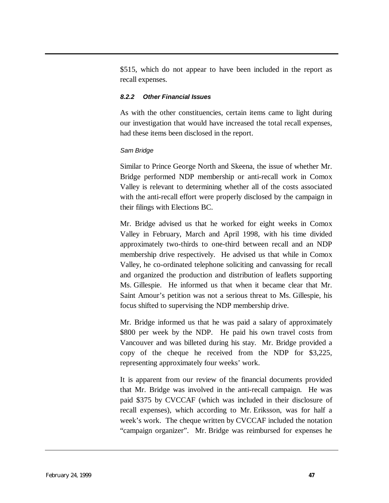\$515, which do not appear to have been included in the report as recall expenses.

#### *8.2.2 Other Financial Issues*

As with the other constituencies, certain items came to light during our investigation that would have increased the total recall expenses, had these items been disclosed in the report.

#### *Sam Bridge*

Similar to Prince George North and Skeena, the issue of whether Mr. Bridge performed NDP membership or anti-recall work in Comox Valley is relevant to determining whether all of the costs associated with the anti-recall effort were properly disclosed by the campaign in their filings with Elections BC.

Mr. Bridge advised us that he worked for eight weeks in Comox Valley in February, March and April 1998, with his time divided approximately two-thirds to one-third between recall and an NDP membership drive respectively. He advised us that while in Comox Valley, he co-ordinated telephone soliciting and canvassing for recall and organized the production and distribution of leaflets supporting Ms. Gillespie. He informed us that when it became clear that Mr. Saint Amour's petition was not a serious threat to Ms. Gillespie, his focus shifted to supervising the NDP membership drive.

Mr. Bridge informed us that he was paid a salary of approximately \$800 per week by the NDP. He paid his own travel costs from Vancouver and was billeted during his stay. Mr. Bridge provided a copy of the cheque he received from the NDP for \$3,225, representing approximately four weeks' work.

It is apparent from our review of the financial documents provided that Mr. Bridge was involved in the anti-recall campaign. He was paid \$375 by CVCCAF (which was included in their disclosure of recall expenses), which according to Mr. Eriksson, was for half a week's work. The cheque written by CVCCAF included the notation "campaign organizer". Mr. Bridge was reimbursed for expenses he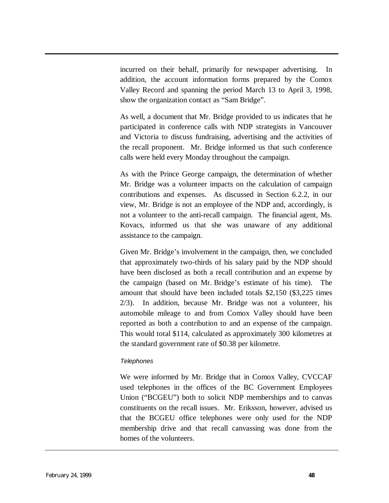incurred on their behalf, primarily for newspaper advertising. In addition, the account information forms prepared by the Comox Valley Record and spanning the period March 13 to April 3, 1998, show the organization contact as "Sam Bridge".

As well, a document that Mr. Bridge provided to us indicates that he participated in conference calls with NDP strategists in Vancouver and Victoria to discuss fundraising, advertising and the activities of the recall proponent. Mr. Bridge informed us that such conference calls were held every Monday throughout the campaign.

As with the Prince George campaign, the determination of whether Mr. Bridge was a volunteer impacts on the calculation of campaign contributions and expenses. As discussed in Section 6.2.2, in our view, Mr. Bridge is not an employee of the NDP and, accordingly, is not a volunteer to the anti-recall campaign. The financial agent, Ms. Kovacs, informed us that she was unaware of any additional assistance to the campaign.

Given Mr. Bridge's involvement in the campaign, then, we concluded that approximately two-thirds of his salary paid by the NDP should have been disclosed as both a recall contribution and an expense by the campaign (based on Mr. Bridge's estimate of his time). The amount that should have been included totals \$2,150 (\$3,225 times 2/3). In addition, because Mr. Bridge was not a volunteer, his automobile mileage to and from Comox Valley should have been reported as both a contribution to and an expense of the campaign. This would total \$114, calculated as approximately 300 kilometres at the standard government rate of \$0.38 per kilometre.

#### *Telephones*

We were informed by Mr. Bridge that in Comox Valley, CVCCAF used telephones in the offices of the BC Government Employees Union ("BCGEU") both to solicit NDP memberships and to canvas constituents on the recall issues. Mr. Eriksson, however, advised us that the BCGEU office telephones were only used for the NDP membership drive and that recall canvassing was done from the homes of the volunteers.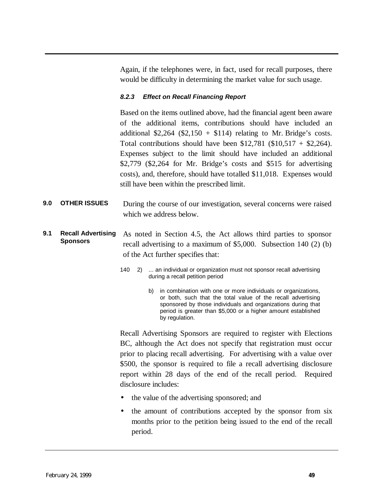<span id="page-50-0"></span>Again, if the telephones were, in fact, used for recall purposes, there would be difficulty in determining the market value for such usage.

#### *8.2.3 Effect on Recall Financing Report*

Based on the items outlined above, had the financial agent been aware of the additional items, contributions should have included an additional  $$2,264$  ( $$2,150 + $114$ ) relating to Mr. Bridge's costs. Total contributions should have been \$12,781 (\$10,517 + \$2,264). Expenses subject to the limit should have included an additional \$2,779 (\$2,264 for Mr. Bridge's costs and \$515 for advertising costs), and, therefore, should have totalled \$11,018. Expenses would still have been within the prescribed limit.

- **9.0 OTHER ISSUES** During the course of our investigation, several concerns were raised which we address below.
- **9.1 Recall Advertising Sponsors** As noted in Section 4.5, the Act allows third parties to sponsor recall advertising to a maximum of \$5,000. Subsection 140 (2) (b) of the Act further specifies that:
	- 140 2) ... an individual or organization must not sponsor recall advertising during a recall petition period
		- b) in combination with one or more individuals or organizations, or both, such that the total value of the recall advertising sponsored by those individuals and organizations during that period is greater than \$5,000 or a higher amount established by regulation.

Recall Advertising Sponsors are required to register with Elections BC, although the Act does not specify that registration must occur prior to placing recall advertising. For advertising with a value over \$500, the sponsor is required to file a recall advertising disclosure report within 28 days of the end of the recall period. Required disclosure includes:

- the value of the advertising sponsored; and
- the amount of contributions accepted by the sponsor from six months prior to the petition being issued to the end of the recall period.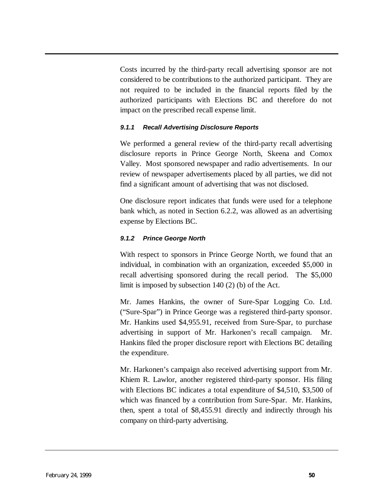Costs incurred by the third-party recall advertising sponsor are not considered to be contributions to the authorized participant. They are not required to be included in the financial reports filed by the authorized participants with Elections BC and therefore do not impact on the prescribed recall expense limit.

#### *9.1.1 Recall Advertising Disclosure Reports*

We performed a general review of the third-party recall advertising disclosure reports in Prince George North, Skeena and Comox Valley. Most sponsored newspaper and radio advertisements. In our review of newspaper advertisements placed by all parties, we did not find a significant amount of advertising that was not disclosed.

One disclosure report indicates that funds were used for a telephone bank which, as noted in Section 6.2.2, was allowed as an advertising expense by Elections BC.

#### *9.1.2 Prince George North*

With respect to sponsors in Prince George North, we found that an individual, in combination with an organization, exceeded \$5,000 in recall advertising sponsored during the recall period. The \$5,000 limit is imposed by subsection 140 (2) (b) of the Act.

Mr. James Hankins, the owner of Sure-Spar Logging Co. Ltd. ("Sure-Spar") in Prince George was a registered third-party sponsor. Mr. Hankins used \$4,955.91, received from Sure-Spar, to purchase advertising in support of Mr. Harkonen's recall campaign. Mr. Hankins filed the proper disclosure report with Elections BC detailing the expenditure.

Mr. Harkonen's campaign also received advertising support from Mr. Khiem R. Lawlor, another registered third-party sponsor. His filing with Elections BC indicates a total expenditure of \$4,510, \$3,500 of which was financed by a contribution from Sure-Spar. Mr. Hankins, then, spent a total of \$8,455.91 directly and indirectly through his company on third-party advertising.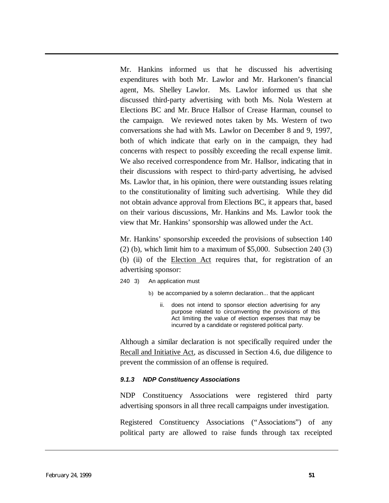Mr. Hankins informed us that he discussed his advertising expenditures with both Mr. Lawlor and Mr. Harkonen's financial agent, Ms. Shelley Lawlor. Ms. Lawlor informed us that she discussed third-party advertising with both Ms. Nola Western at Elections BC and Mr. Bruce Hallsor of Crease Harman, counsel to the campaign. We reviewed notes taken by Ms. Western of two conversations she had with Ms. Lawlor on December 8 and 9, 1997, both of which indicate that early on in the campaign, they had concerns with respect to possibly exceeding the recall expense limit. We also received correspondence from Mr. Hallsor, indicating that in their discussions with respect to third-party advertising, he advised Ms. Lawlor that, in his opinion, there were outstanding issues relating to the constitutionality of limiting such advertising. While they did not obtain advance approval from Elections BC, it appears that, based on their various discussions, Mr. Hankins and Ms. Lawlor took the view that Mr. Hankins' sponsorship was allowed under the Act.

Mr. Hankins' sponsorship exceeded the provisions of subsection 140 (2) (b), which limit him to a maximum of \$5,000. Subsection 240 (3) (b) (ii) of the Election Act requires that, for registration of an advertising sponsor:

240 3) An application must

- b) be accompanied by a solemn declaration... that the applicant
	- ii. does not intend to sponsor election advertising for any purpose related to circumventing the provisions of this Act limiting the value of election expenses that may be incurred by a candidate or registered political party.

Although a similar declaration is not specifically required under the Recall and Initiative Act, as discussed in Section 4.6, due diligence to prevent the commission of an offense is required.

#### *9.1.3 NDP Constituency Associations*

NDP Constituency Associations were registered third party advertising sponsors in all three recall campaigns under investigation.

Registered Constituency Associations ("Associations") of any political party are allowed to raise funds through tax receipted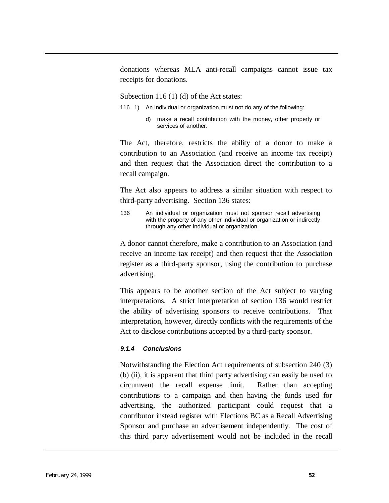donations whereas MLA anti-recall campaigns cannot issue tax receipts for donations.

Subsection 116 (1) (d) of the Act states:

- 116 1) An individual or organization must not do any of the following:
	- d) make a recall contribution with the money, other property or services of another.

The Act, therefore, restricts the ability of a donor to make a contribution to an Association (and receive an income tax receipt) and then request that the Association direct the contribution to a recall campaign.

The Act also appears to address a similar situation with respect to third-party advertising. Section 136 states:

136 An individual or organization must not sponsor recall advertising with the property of any other individual or organization or indirectly through any other individual or organization.

A donor cannot therefore, make a contribution to an Association (and receive an income tax receipt) and then request that the Association register as a third-party sponsor, using the contribution to purchase advertising.

This appears to be another section of the Act subject to varying interpretations. A strict interpretation of section 136 would restrict the ability of advertising sponsors to receive contributions. That interpretation, however, directly conflicts with the requirements of the Act to disclose contributions accepted by a third-party sponsor.

#### *9.1.4 Conclusions*

Notwithstanding the Election Act requirements of subsection 240 (3) (b) (ii), it is apparent that third party advertising can easily be used to circumvent the recall expense limit. Rather than accepting contributions to a campaign and then having the funds used for advertising, the authorized participant could request that a contributor instead register with Elections BC as a Recall Advertising Sponsor and purchase an advertisement independently. The cost of this third party advertisement would not be included in the recall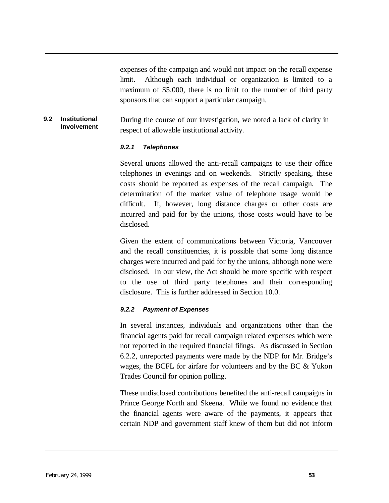expenses of the campaign and would not impact on the recall expense limit. Although each individual or organization is limited to a maximum of \$5,000, there is no limit to the number of third party sponsors that can support a particular campaign.

#### **9.2 Institutional Involvement** During the course of our investigation, we noted a lack of clarity in respect of allowable institutional activity.

#### *9.2.1 Telephones*

Several unions allowed the anti-recall campaigns to use their office telephones in evenings and on weekends. Strictly speaking, these costs should be reported as expenses of the recall campaign. The determination of the market value of telephone usage would be difficult. If, however, long distance charges or other costs are incurred and paid for by the unions, those costs would have to be disclosed.

Given the extent of communications between Victoria, Vancouver and the recall constituencies, it is possible that some long distance charges were incurred and paid for by the unions, although none were disclosed. In our view, the Act should be more specific with respect to the use of third party telephones and their corresponding disclosure. This is further addressed in Section 10.0.

#### *9.2.2 Payment of Expenses*

In several instances, individuals and organizations other than the financial agents paid for recall campaign related expenses which were not reported in the required financial filings. As discussed in Section 6.2.2, unreported payments were made by the NDP for Mr. Bridge's wages, the BCFL for airfare for volunteers and by the BC & Yukon Trades Council for opinion polling.

These undisclosed contributions benefited the anti-recall campaigns in Prince George North and Skeena. While we found no evidence that the financial agents were aware of the payments, it appears that certain NDP and government staff knew of them but did not inform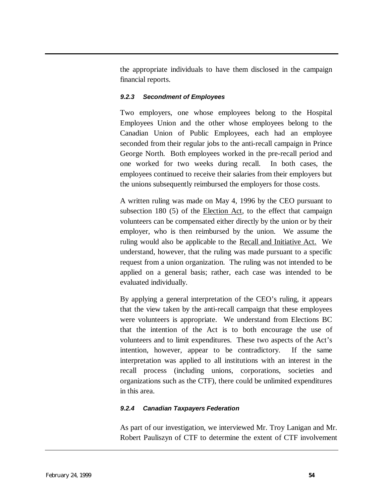the appropriate individuals to have them disclosed in the campaign financial reports.

## *9.2.3 Secondment of Employees*

Two employers, one whose employees belong to the Hospital Employees Union and the other whose employees belong to the Canadian Union of Public Employees, each had an employee seconded from their regular jobs to the anti-recall campaign in Prince George North. Both employees worked in the pre-recall period and one worked for two weeks during recall. In both cases, the employees continued to receive their salaries from their employers but the unions subsequently reimbursed the employers for those costs.

A written ruling was made on May 4, 1996 by the CEO pursuant to subsection 180 (5) of the Election Act, to the effect that campaign volunteers can be compensated either directly by the union or by their employer, who is then reimbursed by the union. We assume the ruling would also be applicable to the Recall and Initiative Act. We understand, however, that the ruling was made pursuant to a specific request from a union organization. The ruling was not intended to be applied on a general basis; rather, each case was intended to be evaluated individually.

By applying a general interpretation of the CEO's ruling, it appears that the view taken by the anti-recall campaign that these employees were volunteers is appropriate. We understand from Elections BC that the intention of the Act is to both encourage the use of volunteers and to limit expenditures. These two aspects of the Act's intention, however, appear to be contradictory. If the same interpretation was applied to all institutions with an interest in the recall process (including unions, corporations, societies and organizations such as the CTF), there could be unlimited expenditures in this area.

## *9.2.4 Canadian Taxpayers Federation*

As part of our investigation, we interviewed Mr. Troy Lanigan and Mr. Robert Pauliszyn of CTF to determine the extent of CTF involvement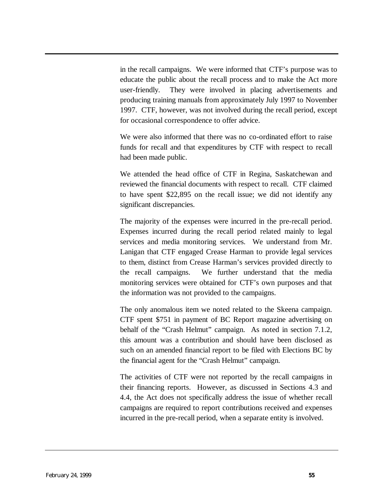in the recall campaigns. We were informed that CTF's purpose was to educate the public about the recall process and to make the Act more user-friendly. They were involved in placing advertisements and producing training manuals from approximately July 1997 to November 1997. CTF, however, was not involved during the recall period, except for occasional correspondence to offer advice.

We were also informed that there was no co-ordinated effort to raise funds for recall and that expenditures by CTF with respect to recall had been made public.

We attended the head office of CTF in Regina, Saskatchewan and reviewed the financial documents with respect to recall. CTF claimed to have spent \$22,895 on the recall issue; we did not identify any significant discrepancies.

The majority of the expenses were incurred in the pre-recall period. Expenses incurred during the recall period related mainly to legal services and media monitoring services. We understand from Mr. Lanigan that CTF engaged Crease Harman to provide legal services to them, distinct from Crease Harman's services provided directly to the recall campaigns. We further understand that the media monitoring services were obtained for CTF's own purposes and that the information was not provided to the campaigns.

The only anomalous item we noted related to the Skeena campaign. CTF spent \$751 in payment of BC Report magazine advertising on behalf of the "Crash Helmut" campaign. As noted in section 7.1.2, this amount was a contribution and should have been disclosed as such on an amended financial report to be filed with Elections BC by the financial agent for the "Crash Helmut" campaign.

The activities of CTF were not reported by the recall campaigns in their financing reports. However, as discussed in Sections 4.3 and 4.4, the Act does not specifically address the issue of whether recall campaigns are required to report contributions received and expenses incurred in the pre-recall period, when a separate entity is involved.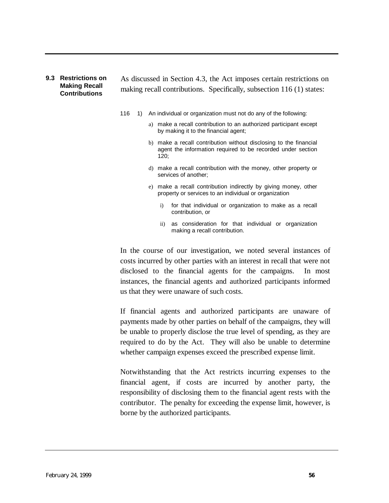#### **9.3 Restrictions on Making Recall Contributions**

As discussed in Section 4.3, the Act imposes certain restrictions on making recall contributions. Specifically, subsection 116 (1) states:

- 116 1) An individual or organization must not do any of the following:
	- a) make a recall contribution to an authorized participant except by making it to the financial agent;
	- b) make a recall contribution without disclosing to the financial agent the information required to be recorded under section 120;
	- d) make a recall contribution with the money, other property or services of another;
	- e) make a recall contribution indirectly by giving money, other property or services to an individual or organization
		- i) for that individual or organization to make as a recall contribution, or
		- ii) as consideration for that individual or organization making a recall contribution.

In the course of our investigation, we noted several instances of costs incurred by other parties with an interest in recall that were not disclosed to the financial agents for the campaigns. In most instances, the financial agents and authorized participants informed us that they were unaware of such costs.

If financial agents and authorized participants are unaware of payments made by other parties on behalf of the campaigns, they will be unable to properly disclose the true level of spending, as they are required to do by the Act. They will also be unable to determine whether campaign expenses exceed the prescribed expense limit.

Notwithstanding that the Act restricts incurring expenses to the financial agent, if costs are incurred by another party, the responsibility of disclosing them to the financial agent rests with the contributor. The penalty for exceeding the expense limit, however, is borne by the authorized participants.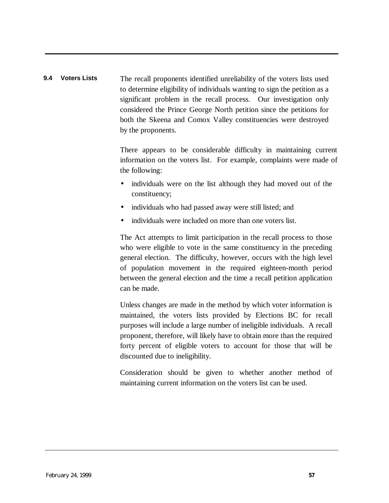# **9.4 Voters Lists** The recall proponents identified unreliability of the voters lists used to determine eligibility of individuals wanting to sign the petition as a significant problem in the recall process. Our investigation only considered the Prince George North petition since the petitions for both the Skeena and Comox Valley constituencies were destroyed by the proponents.

There appears to be considerable difficulty in maintaining current information on the voters list. For example, complaints were made of the following:

- individuals were on the list although they had moved out of the constituency;
- individuals who had passed away were still listed; and
- individuals were included on more than one voters list.

The Act attempts to limit participation in the recall process to those who were eligible to vote in the same constituency in the preceding general election. The difficulty, however, occurs with the high level of population movement in the required eighteen-month period between the general election and the time a recall petition application can be made.

Unless changes are made in the method by which voter information is maintained, the voters lists provided by Elections BC for recall purposes will include a large number of ineligible individuals. A recall proponent, therefore, will likely have to obtain more than the required forty percent of eligible voters to account for those that will be discounted due to ineligibility.

Consideration should be given to whether another method of maintaining current information on the voters list can be used.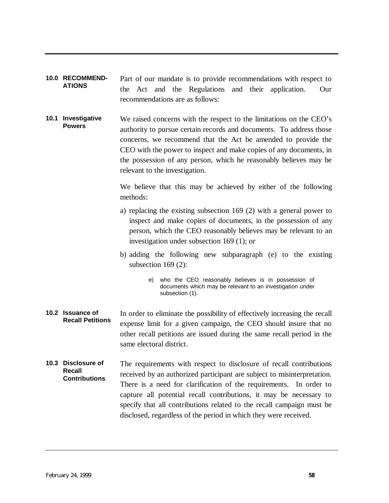- <span id="page-59-0"></span>**10.0 RECOMMEND-ATIONS** Part of our mandate is to provide recommendations with respect to the Act and the Regulations and their application. Our recommendations are as follows:
- **10.1 Investigative Powers** We raised concerns with the respect to the limitations on the CEO's authority to pursue certain records and documents. To address those concerns, we recommend that the Act be amended to provide the CEO with the power to inspect and make copies of any documents, in the possession of any person, which he reasonably believes may be relevant to the investigation.

We believe that this may be achieved by either of the following methods:

- a) replacing the existing subsection 169 (2) with a general power to inspect and make copies of documents, in the possession of any person, which the CEO reasonably believes may be relevant to an investigation under subsection 169 (1); or
- b) adding the following new subparagraph (e) to the existing subsection 169 (2):
	- e) who the CEO reasonably believes is in possession of documents which may be relevant to an investigation under subsection (1).
- **10.2 Issuance of Recall Petitions** In order to eliminate the possibility of effectively increasing the recall expense limit for a given campaign, the CEO should insure that no other recall petitions are issued during the same recall period in the same electoral district.
- **10.3 Disclosure of Recall Contributions** The requirements with respect to disclosure of recall contributions received by an authorized participant are subject to misinterpretation. There is a need for clarification of the requirements. In order to capture all potential recall contributions, it may be necessary to specify that all contributions related to the recall campaign must be disclosed, regardless of the period in which they were received.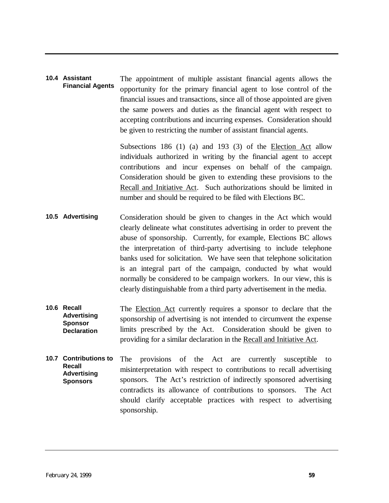#### **10.4 Assistant Financial Agents** The appointment of multiple assistant financial agents allows the opportunity for the primary financial agent to lose control of the financial issues and transactions, since all of those appointed are given the same powers and duties as the financial agent with respect to accepting contributions and incurring expenses. Consideration should be given to restricting the number of assistant financial agents.

Subsections 186 (1) (a) and 193 (3) of the Election Act allow individuals authorized in writing by the financial agent to accept contributions and incur expenses on behalf of the campaign. Consideration should be given to extending these provisions to the Recall and Initiative Act. Such authorizations should be limited in number and should be required to be filed with Elections BC.

- **10.5 Advertising** Consideration should be given to changes in the Act which would clearly delineate what constitutes advertising in order to prevent the abuse of sponsorship. Currently, for example, Elections BC allows the interpretation of third-party advertising to include telephone banks used for solicitation. We have seen that telephone solicitation is an integral part of the campaign, conducted by what would normally be considered to be campaign workers. In our view, this is clearly distinguishable from a third party advertisement in the media.
- **10.6 Recall Advertising Sponsor Declaration** The Election Act currently requires a sponsor to declare that the sponsorship of advertising is not intended to circumvent the expense limits prescribed by the Act. Consideration should be given to providing for a similar declaration in the Recall and Initiative Act.
- **10.7 Contributions to Recall Advertising Sponsors** The provisions of the Act are currently susceptible to misinterpretation with respect to contributions to recall advertising sponsors. The Act's restriction of indirectly sponsored advertising contradicts its allowance of contributions to sponsors. The Act should clarify acceptable practices with respect to advertising sponsorship.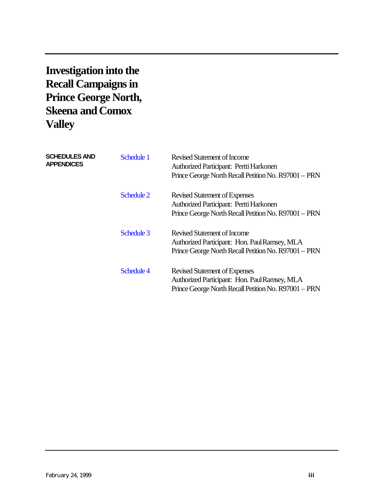# **Investigation into the Recall Campaigns in Prince George North, Skeena and Comox Valley**

| <b>SCHEDULES AND</b><br><b>APPENDICES</b> | Schedule 1 | <b>Revised Statement of Income</b><br>Authorized Participant: Pertti Harkonen<br>Prince George North Recall Petition No. R97001 - PRN         |
|-------------------------------------------|------------|-----------------------------------------------------------------------------------------------------------------------------------------------|
|                                           | Schedule 2 | <b>Revised Statement of Expenses</b><br>Authorized Participant: Pertti Harkonen<br>Prince George North Recall Petition No. R97001 - PRN       |
|                                           | Schedule 3 | Revised Statement of Income<br>Authorized Participant: Hon. Paul Ramsey, MLA<br>Prince George North Recall Petition No. R97001 - PRN          |
|                                           | Schedule 4 | <b>Revised Statement of Expenses</b><br>Authorized Participant: Hon. Paul Ramsey, MLA<br>Prince George North Recall Petition No. R97001 - PRN |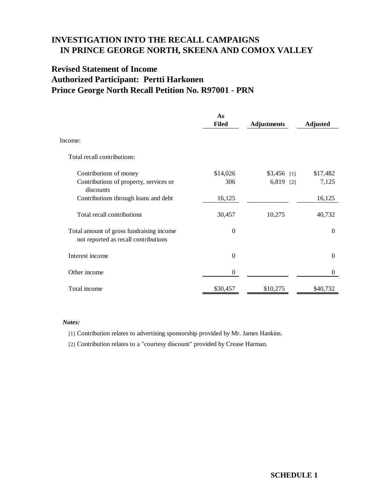# <span id="page-62-0"></span>**Revised Statement of Income Authorized Participant: Pertti Harkonen Prince George North Recall Petition No. R97001 - PRN**

|                                                                                  | As<br><b>Filed</b> | <b>Adjustments</b> | <b>Adjusted</b> |
|----------------------------------------------------------------------------------|--------------------|--------------------|-----------------|
| Income:                                                                          |                    |                    |                 |
| Total recall contributions:                                                      |                    |                    |                 |
| Contributions of money                                                           | \$14,026           | $$3,456$ [1]       | \$17,482        |
| Contributions of property, services or<br>discounts                              | 306                | $6,819$ [2]        | 7,125           |
| Contributions through loans and debt                                             | 16,125             |                    | 16,125          |
| Total recall contributions                                                       | 30,457             | 10,275             | 40,732          |
| Total amount of gross fundraising income<br>not reported as recall contributions | $\theta$           |                    | $\Omega$        |
| Interest income                                                                  | $\Omega$           |                    | $\Omega$        |
| Other income                                                                     | $\boldsymbol{0}$   |                    | $\Omega$        |
| Total income                                                                     | \$30,457           | \$10,275           | \$40,732        |

#### *Notes:*

[1] Contribution relates to advertising sponsorship provided by Mr. James Hankins.

[2] Contribution relates to a "courtesy discount" provided by Crease Harman.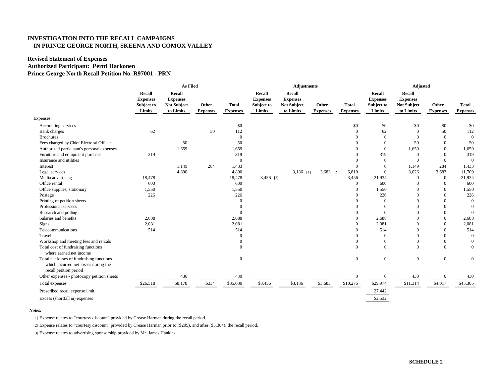#### <span id="page-63-0"></span>**Revised Statement of Expenses Authorized Participant: Pertti Harkonen Prince George North Recall Petition No. R97001 - PRN**

|                                                                                                             | As Filed                                          |                                                              |                          |                                 | <b>Adjustments</b>                                |                                                              |                          |                                 | <b>Adjusted</b>                                   |                                                              |                          |                                 |
|-------------------------------------------------------------------------------------------------------------|---------------------------------------------------|--------------------------------------------------------------|--------------------------|---------------------------------|---------------------------------------------------|--------------------------------------------------------------|--------------------------|---------------------------------|---------------------------------------------------|--------------------------------------------------------------|--------------------------|---------------------------------|
|                                                                                                             | Recall<br><b>Expenses</b><br>Subject to<br>Limits | Recall<br><b>Expenses</b><br><b>Not Subject</b><br>to Limits | Other<br><b>Expenses</b> | <b>Total</b><br><b>Expenses</b> | Recall<br><b>Expenses</b><br>Subject to<br>Limits | Recall<br><b>Expenses</b><br><b>Not Subject</b><br>to Limits | Other<br><b>Expenses</b> | <b>Total</b><br><b>Expenses</b> | Recall<br><b>Expenses</b><br>Subject to<br>Limits | Recall<br><b>Expenses</b><br><b>Not Subject</b><br>to Limits | Other<br><b>Expenses</b> | <b>Total</b><br><b>Expenses</b> |
| Expenses:                                                                                                   |                                                   |                                                              |                          |                                 |                                                   |                                                              |                          |                                 |                                                   |                                                              |                          |                                 |
| Accounting services                                                                                         |                                                   |                                                              |                          | \$0                             |                                                   |                                                              |                          | \$0                             | \$0                                               | \$0                                                          | \$0                      | \$0                             |
| Bank charges                                                                                                | 62                                                |                                                              | 50                       | 112                             |                                                   |                                                              |                          | $\overline{0}$                  | 62                                                | $\Omega$                                                     | 50                       | 112                             |
| <b>Brochures</b>                                                                                            |                                                   |                                                              |                          | $\theta$                        |                                                   |                                                              |                          | $\Omega$                        | $\Omega$                                          | $\Omega$                                                     | $\Omega$                 | $\mathbf{0}$                    |
| Fees charged by Chief Electoral Officer                                                                     |                                                   | 50                                                           |                          | 50                              |                                                   |                                                              |                          | $\Omega$                        | $\mathbf{0}$                                      | 50                                                           | $\Omega$                 | 50                              |
| Authorized participant's personal expenses                                                                  |                                                   | 1,659                                                        |                          | 1,659                           |                                                   |                                                              |                          | $\Omega$                        | $\mathbf{0}$                                      | 1,659                                                        | $\mathbf{0}$             | 1,659                           |
| Furniture and equipment purchase                                                                            | 319                                               |                                                              |                          | 319                             |                                                   |                                                              |                          | $\Omega$                        | 319                                               | $\mathbf{0}$                                                 | $\Omega$                 | 319                             |
| Insurance and utilities                                                                                     |                                                   |                                                              |                          | $\theta$                        |                                                   |                                                              |                          | $\Omega$                        | $\mathbf{0}$                                      | $\Omega$                                                     | $\mathbf{0}$             | $\theta$                        |
| Interest                                                                                                    |                                                   | 1,149                                                        | 284                      | 1,433                           |                                                   |                                                              |                          | $\Omega$                        | $\mathbf{0}$                                      | 1,149                                                        | 284                      | 1,433                           |
| Legal services                                                                                              |                                                   | 4,890                                                        |                          | 4,890                           |                                                   | $3,136$ [1]                                                  | 3,683 [2]                | 6,819                           | $\mathbf{0}$                                      | 8,026                                                        | 3,683                    | 11,709                          |
| Media advertising                                                                                           | 18,478                                            |                                                              |                          | 18,478                          | $3,456$ [3]                                       |                                                              |                          | 3,456                           | 21,934                                            | $\Omega$                                                     | $\mathbf{0}$             | 21,934                          |
| Office rental                                                                                               | 600                                               |                                                              |                          | 600                             |                                                   |                                                              |                          | $\overline{0}$                  | 600                                               | $\Omega$                                                     | $\mathbf{0}$             | 600                             |
| Office supplies, stationary                                                                                 | 1,550                                             |                                                              |                          | 1,550                           |                                                   |                                                              |                          | $\overline{0}$                  | 1,550                                             | 0                                                            | $\Omega$                 | 1,550                           |
| Postage                                                                                                     | 226                                               |                                                              |                          | 226                             |                                                   |                                                              |                          | $\Omega$                        | 226                                               |                                                              | $\Omega$                 | 226                             |
| Printing of petition sheets                                                                                 |                                                   |                                                              |                          | $\overline{0}$                  |                                                   |                                                              |                          | $\Omega$                        | $\Omega$                                          | 0                                                            | $\Omega$                 | $\overline{0}$                  |
| Professional services                                                                                       |                                                   |                                                              |                          | $\Omega$                        |                                                   |                                                              |                          | $\Omega$                        | $\Omega$                                          |                                                              | $\theta$                 | $\overline{0}$                  |
| Research and polling                                                                                        |                                                   |                                                              |                          | $\overline{0}$                  |                                                   |                                                              |                          | $\Omega$                        | $\mathbf{0}$                                      |                                                              | $\theta$                 | $\overline{0}$                  |
| Salaries and benefits                                                                                       | 2,688                                             |                                                              |                          | 2,688                           |                                                   |                                                              |                          | $\overline{0}$                  | 2,688                                             |                                                              | $\overline{0}$           | 2,688                           |
| Signs                                                                                                       | 2,081                                             |                                                              |                          | 2,081                           |                                                   |                                                              |                          | $\theta$                        | 2,081                                             |                                                              | $\theta$                 | 2,081                           |
| Telecommunications                                                                                          | 514                                               |                                                              |                          | 514                             |                                                   |                                                              |                          | $\Omega$                        | 514                                               | 0                                                            | $\theta$                 | 514                             |
| Travel                                                                                                      |                                                   |                                                              |                          | $\Omega$                        |                                                   |                                                              |                          | $\Omega$                        | $\mathbf{0}$                                      | $\Omega$                                                     | $\theta$                 | $\mathbf{0}$                    |
| Workshop and meeting fees and rentals                                                                       |                                                   |                                                              |                          | $\Omega$                        |                                                   |                                                              |                          | $\Omega$                        | $\boldsymbol{0}$                                  | $\theta$                                                     | $\theta$                 | $\boldsymbol{0}$                |
| Total cost of fundraising functions<br>where earned net income                                              |                                                   |                                                              |                          | $\Omega$                        |                                                   |                                                              |                          | $\mathbf{0}$                    | $\mathbf{0}$                                      | $\Omega$                                                     | $\mathbf{0}$             | $\overline{0}$                  |
| Total net losses of fundraising functions<br>which incurred net losses during the<br>recall petition period |                                                   |                                                              |                          | $\mathbf{0}$                    |                                                   |                                                              |                          | $\mathbf{0}$                    | $\bf{0}$                                          | $\overline{0}$                                               | $\mathbf{0}$             | $\boldsymbol{0}$                |
| Other expenses - photocopy petition sheets                                                                  |                                                   | 430                                                          |                          | 430                             |                                                   |                                                              |                          | $\overline{0}$                  | $\theta$                                          | 430                                                          | $\Omega$                 | 430                             |
| Total expenses                                                                                              | \$26,518                                          | \$8,178                                                      | \$334                    | \$35,030                        | \$3,456                                           | \$3,136                                                      | \$3,683                  | \$10,275                        | \$29,974                                          | \$11,314                                                     | \$4,017                  | \$45,305                        |
| Prescribed recall expense limit                                                                             |                                                   |                                                              |                          |                                 |                                                   |                                                              |                          |                                 | 27,442                                            |                                                              |                          |                                 |
| Excess (shortfall in) expenses                                                                              |                                                   |                                                              |                          |                                 |                                                   |                                                              |                          |                                 | \$2,532                                           |                                                              |                          |                                 |

#### *Notes:*

[1] Expense relates to "courtesy discount" provided by Crease Harman during the recall period.

[2] Expense relates to "courtesy discount" provided by Crease Harman prior to (\$299), and after (\$3,384), the recall period.

[3] Expense relates to advertising sponsorship provided by Mr. James Hankins.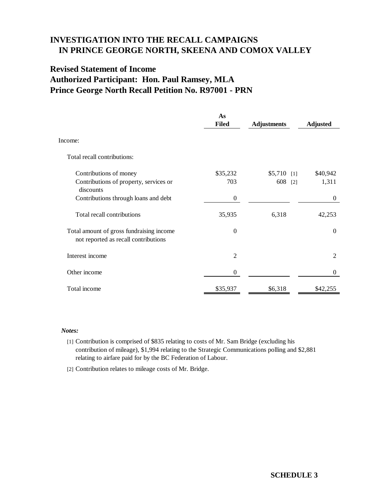# <span id="page-64-0"></span>**Revised Statement of Income Authorized Participant: Hon. Paul Ramsey, MLA Prince George North Recall Petition No. R97001 - PRN**

|                                                                                  | As<br><b>Filed</b> | <b>Adjustments</b> | <b>Adjusted</b> |
|----------------------------------------------------------------------------------|--------------------|--------------------|-----------------|
| Income:                                                                          |                    |                    |                 |
| Total recall contributions:                                                      |                    |                    |                 |
| Contributions of money                                                           | \$35,232           | \$5,710            | \$40,942<br>[1] |
| Contributions of property, services or<br>discounts                              | 703                | 608                | 1,311<br>$[2]$  |
| Contributions through loans and debt                                             | $\boldsymbol{0}$   |                    | $\theta$        |
| Total recall contributions                                                       | 35,935             | 6,318              | 42,253          |
| Total amount of gross fundraising income<br>not reported as recall contributions | $\Omega$           |                    | $\Omega$        |
| Interest income                                                                  | $\overline{2}$     |                    | $\overline{2}$  |
| Other income                                                                     | $\overline{0}$     |                    | $\overline{0}$  |
| Total income                                                                     | \$35,937           | \$6,318            | \$42.255        |

#### *Notes:*

[1] Contribution is comprised of \$835 relating to costs of Mr. Sam Bridge (excluding his contribution of mileage), \$1,994 relating to the Strategic Communications polling and \$2,881 relating to airfare paid for by the BC Federation of Labour.

[2] Contribution relates to mileage costs of Mr. Bridge.